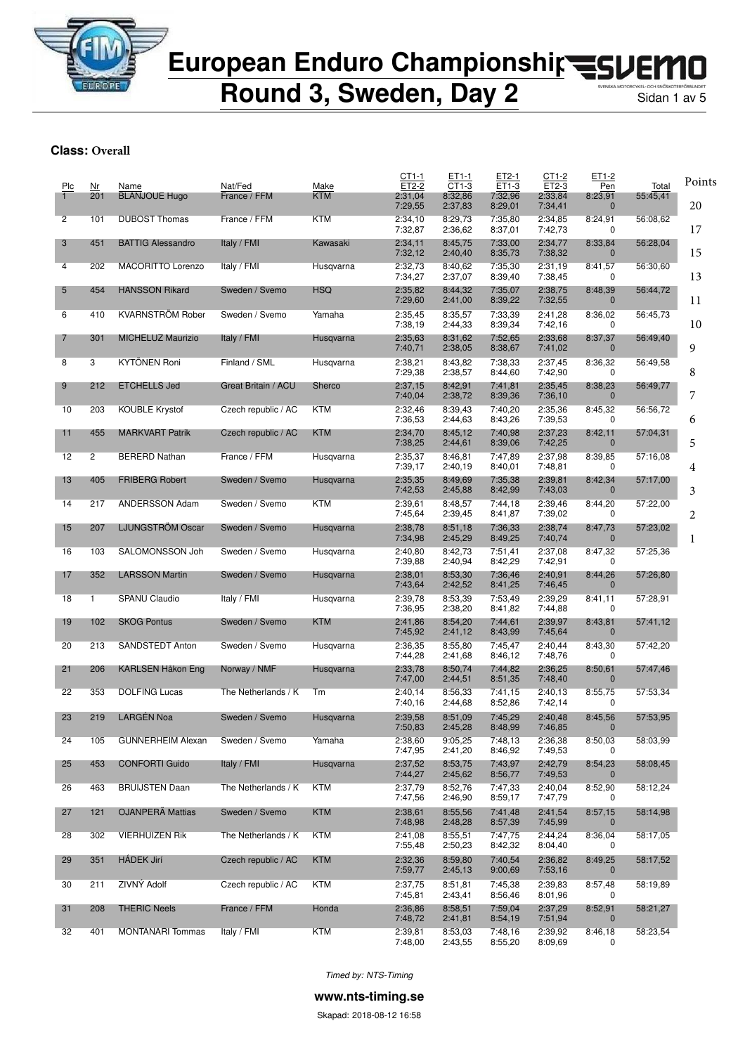

**Round 3, Sweden, Day 2** 

#### **Class: Overall**

| Plc<br>1 | Nr<br>201    | Name<br><b>BLANJOUE Hugo</b> | Nat/Fed<br>France / FFM | Make<br><b>KTM</b> | CT1-1<br>ET2-2<br>2:31,04 | ET1-1<br>CT1-3<br>8:32,86 | ET2-1<br>ET1-3<br>7:32,96 | CT1-2<br>ET2-3<br>2:33,84 | ET1-2<br>Pen<br>8:23,91 | Total<br>55:45,41 | Points |
|----------|--------------|------------------------------|-------------------------|--------------------|---------------------------|---------------------------|---------------------------|---------------------------|-------------------------|-------------------|--------|
|          |              |                              | France / FFM            | <b>KTM</b>         | 7:29,55                   | 2:37,83                   | 8:29,01                   | 7:34,41                   | $\mathbf{0}$            |                   | 20     |
| 2        | 101          | <b>DUBOST Thomas</b>         |                         |                    | 2:34,10<br>7:32,87        | 8:29,73<br>2:36,62        | 7:35,80<br>8:37,01        | 2:34,85<br>7:42,73        | 8:24,91<br>0            | 56:08,62          | 17     |
| 3        | 451          | <b>BATTIG Alessandro</b>     | Italy / FMI             | Kawasaki           | 2:34,11<br>7:32,12        | 8:45,75<br>2:40,40        | 7:33,00<br>8:35,73        | 2:34,77<br>7:38,32        | 8:33,84<br>$\mathbf 0$  | 56:28,04          | 15     |
| 4        | 202          | MACORITTO Lorenzo            | Italy / FMI             | Husqvarna          | 2:32,73<br>7:34,27        | 8:40,62<br>2:37,07        | 7:35,30<br>8:39,40        | 2:31,19<br>7:38,45        | 8:41,57<br>0            | 56:30,60          | 13     |
| 5        | 454          | <b>HANSSON Rikard</b>        | Sweden / Svemo          | <b>HSQ</b>         | 2:35,82<br>7:29,60        | 8:44,32<br>2:41,00        | 7:35,07<br>8:39,22        | 2:38,75<br>7:32,55        | 8:48,39<br>$\mathbf 0$  | 56:44,72          | 11     |
| 6        | 410          | <b>KVARNSTRÖM Rober</b>      | Sweden / Svemo          | Yamaha             | 2:35,45<br>7:38,19        | 8:35,57<br>2:44,33        | 7:33,39<br>8:39,34        | 2:41,28<br>7:42,16        | 8:36,02<br>0            | 56:45,73          | 10     |
| 7        | 301          | <b>MICHELUZ Maurizio</b>     | Italy / FMI             | Husqvarna          | 2:35,63<br>7:40,71        | 8:31,62<br>2:38,05        | 7:52,65<br>8:38,67        | 2:33,68<br>7:41,02        | 8:37,37<br>$\mathbf{0}$ | 56:49,40          | 9      |
| 8        | 3            | <b>KYTÖNEN Roni</b>          | Finland / SML           | Husqvarna          | 2:38,21<br>7:29,38        | 8:43,82<br>2:38,57        | 7:38,33<br>8:44,60        | 2:37,45<br>7:42,90        | 8:36,32<br>0            | 56:49,58          | 8      |
| 9        | 212          | <b>ETCHELLS Jed</b>          | Great Britain / ACU     | Sherco             | 2:37,15<br>7:40,04        | 8:42,91<br>2:38,72        | 7:41,81<br>8:39,36        | 2:35,45<br>7:36,10        | 8:38,23<br>$\mathbf 0$  | 56:49,77          | 7      |
| 10       | 203          | <b>KOUBLE Krystof</b>        | Czech republic / AC     | KTM                | 2:32,46<br>7:36,53        | 8:39,43<br>2:44,63        | 7:40,20<br>8:43,26        | 2:35,36<br>7:39,53        | 8:45,32<br>0            | 56:56,72          | 6      |
| 11       | 455          | <b>MARKVART Patrik</b>       | Czech republic / AC     | <b>KTM</b>         | 2:34,70<br>7:38,25        | 8:45,12<br>2:44,61        | 7:40,98<br>8:39,06        | 2:37,23<br>7:42,25        | 8:42,11<br>$\mathbf{0}$ | 57:04,31          | 5      |
| 12       | 2            | <b>BERERD Nathan</b>         | France / FFM            | Husgvarna          | 2:35,37<br>7:39,17        | 8:46,81<br>2:40,19        | 7:47,89<br>8:40,01        | 2:37,98<br>7:48,81        | 8:39,85<br>0            | 57:16,08          | 4      |
| 13       | 405          | <b>FRIBERG Robert</b>        | Sweden / Svemo          | Husqvarna          | 2:35,35<br>7:42,53        | 8:49,69<br>2:45,88        | 7:35,38<br>8:42,99        | 2:39,81<br>7:43,03        | 8:42,34<br>$\mathbf 0$  | 57:17,00          | 3      |
| 14       | 217          | ANDERSSON Adam               | Sweden / Svemo          | KTM                | 2:39,61<br>7:45,64        | 8:48,57<br>2:39,45        | 7:44,18<br>8:41,87        | 2:39,46<br>7:39,02        | 8:44,20<br>0            | 57:22,00          | 2      |
| 15       | 207          | LJUNGSTRÖM Oscar             | Sweden / Svemo          | Husqvarna          | 2:38,78<br>7:34,98        | 8:51,18<br>2:45,29        | 7:36,33<br>8:49,25        | 2:38,74<br>7:40,74        | 8:47,73<br>$\mathbf{0}$ | 57:23,02          | 1      |
| 16       | 103          | SALOMONSSON Joh              | Sweden / Svemo          | Husqvarna          | 2:40,80<br>7:39,88        | 8:42,73<br>2:40,94        | 7:51,41<br>8:42,29        | 2:37,08<br>7:42,91        | 8:47,32<br>0            | 57:25,36          |        |
| 17       | 352          | <b>LARSSON Martin</b>        | Sweden / Svemo          | Husqvarna          | 2:38,01<br>7:43,64        | 8:53,30<br>2:42,52        | 7:36,46<br>8:41,25        | 2:40,91<br>7:46,45        | 8:44,26<br>$\mathbf{0}$ | 57:26,80          |        |
| 18       | $\mathbf{1}$ | SPANU Claudio                | Italy / FMI             | Husqvarna          | 2:39,78<br>7:36,95        | 8:53,39<br>2:38,20        | 7:53,49<br>8:41,82        | 2:39,29<br>7:44,88        | 8:41,11<br>0            | 57:28,91          |        |
| 19       | 102          | <b>SKOG Pontus</b>           | Sweden / Svemo          | <b>KTM</b>         | 2:41,86<br>7:45,92        | 8:54,20<br>2:41,12        | 7:44,61<br>8:43,99        | 2:39,97<br>7:45,64        | 8:43,81<br>$\mathbf 0$  | 57:41,12          |        |
| 20       | 213          | SANDSTEDT Anton              | Sweden / Svemo          | Husqvarna          | 2:36,35<br>7:44,28        | 8:55,80<br>2:41,68        | 7:45,47<br>8:46,12        | 2:40,44<br>7:48,76        | 8:43,30<br>0            | 57:42,20          |        |
| 21       | 206          | KARLSEN Håkon Eng            | Norway / NMF            | Husqvarna          | 2:33,78<br>7:47,00        | 8:50,74<br>2:44,51        | 7:44,82<br>8:51,35        | 2:36,25<br>7:48,40        | 8:50,61<br>$\mathbf{0}$ | 57:47,46          |        |
| 22       | 353          | <b>DOLFING Lucas</b>         | The Netherlands / K     | Tm                 | 2:40,14<br>7:40,16        | 8:56,33<br>2:44,68        | 7:41,15<br>8:52,86        | 2:40,13<br>7:42,14        | 8:55,75<br>0            | 57:53,34          |        |
| 23       | 219          | <b>LARGÉN Noa</b>            | Sweden / Svemo          | Husqvarna          | 2:39,58                   | 8:51,09                   | 7:45,29                   | 2:40,48                   | 8:45,56                 | 57:53,95          |        |
| 24       | 105          | <b>GUNNERHEIM Alexan</b>     | Sweden / Svemo          | Yamaha             | 7:50,83<br>2:38,60        | 2:45,28<br>9:05,25        | 8:48,99<br>7:48,13        | 7:46,85<br>2:36,38        | $\mathbf 0$<br>8:50,03  | 58:03,99          |        |
| 25       | 453          | <b>CONFORTI Guido</b>        | Italy / FMI             | Husgvarna          | 7:47,95<br>2:37,52        | 2:41,20<br>8:53.75        | 8:46,92<br>7:43,97        | 7:49,53<br>2:42,79        | 0<br>8:54,23            | 58:08,45          |        |
| 26       | 463          | <b>BRUIJSTEN Daan</b>        | The Netherlands / K     | KTM                | 7:44,27<br>2:37,79        | 2:45,62<br>8:52,76        | 8:56,77<br>7:47,33        | 7:49,53<br>2:40,04        | $\mathbf{0}$<br>8:52,90 | 58:12,24          |        |
| 27       | 121          | <b>OJANPERÄ Mattias</b>      | Sweden / Svemo          | <b>KTM</b>         | 7:47,56<br>2:38,61        | 2:46,90<br>8:55.56        | 8:59,17<br>7:41,48        | 7:47,79<br>2:41,54        | 0<br>8:57,15            | 58:14,98          |        |
| 28       | 302          | <b>VIERHUIZEN Rik</b>        | The Netherlands / K     | <b>KTM</b>         | 7:48,98<br>2:41,08        | 2:48,28<br>8:55,51        | 8:57,39<br>7:47,75        | 7:45,99<br>2:44,24        | $\mathbf{0}$<br>8:36,04 | 58:17,05          |        |
| 29       | 351          | <b>HÁDEK Jirí</b>            | Czech republic / AC     | <b>KTM</b>         | 7:55,48<br>2:32.36        | 2:50,23<br>8:59,80        | 8:42,32<br>7:40,54        | 8:04,40<br>2:36,82        | 0<br>8:49,25            | 58:17,52          |        |
|          |              |                              |                         |                    | 7:59,77                   | 2:45,13                   | 9:00,69                   | 7:53,16                   | $\mathbf 0$             |                   |        |
| 30       | 211          | ZIVNÝ Adolf                  | Czech republic / AC     | <b>KTM</b>         | 2:37,75<br>7:45,81        | 8:51,81<br>2:43,41        | 7:45,38<br>8:56,46        | 2:39,83<br>8:01,96        | 8:57,48<br>0            | 58:19,89          |        |
| 31       | 208          | <b>THERIC Neels</b>          | France / FFM            | Honda              | 2:36,86<br>7:48,72        | 8:58,51<br>2:41,81        | 7:59,04<br>8:54,19        | 2:37,29<br>7:51,94        | 8:52,91<br>$\mathbf 0$  | 58:21,27          |        |
| 32       | 401          | <b>MONTANARI</b> Tommas      | Italy / FMI             | <b>KTM</b>         | 2:39,81<br>7:48,00        | 8:53,03<br>2:43,55        | 7:48,16<br>8:55,20        | 2:39,92<br>8:09,69        | 8:46,18<br>0            | 58:23,54          |        |

*Timed by: NTS-Timing*

**www.nts-timing.se**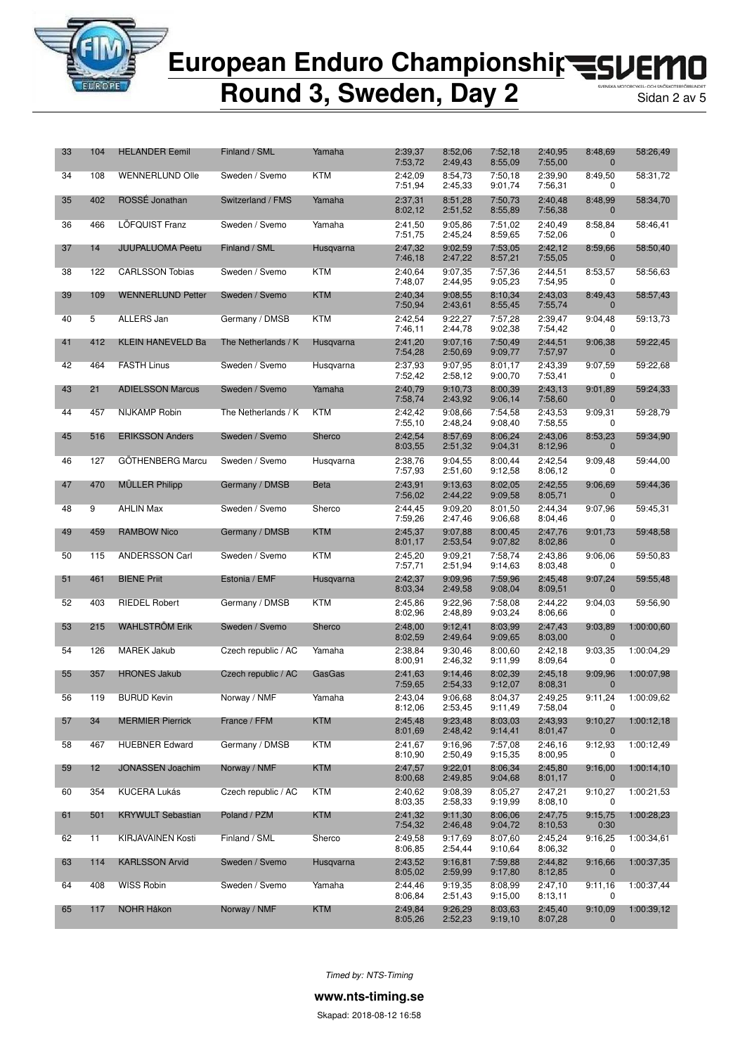

**Round 3, Sweden, Day 2** 

| 33 | 104               | <b>HELANDER Eemil</b>    | Finland / SML       | Yamaha      | 2:39,37<br>7:53,72 | 8:52,06<br>2:49,43 | 7:52,18<br>8:55,09 | 2:40,95<br>7:55,00 | 8:48,69<br>0            | 58:26,49   |
|----|-------------------|--------------------------|---------------------|-------------|--------------------|--------------------|--------------------|--------------------|-------------------------|------------|
| 34 | 108               | <b>WENNERLUND Olle</b>   | Sweden / Svemo      | <b>KTM</b>  | 2:42,09<br>7:51,94 | 8:54,73<br>2:45,33 | 7:50,18<br>9:01,74 | 2:39,90<br>7:56,31 | 8:49,50<br>0            | 58:31,72   |
| 35 | 402               | ROSSE Jonathan           | Switzerland / FMS   | Yamaha      | 2:37,31<br>8:02,12 | 8:51,28<br>2:51,52 | 7:50,73<br>8:55,89 | 2:40,48<br>7:56,38 | 8:48,99<br>$\mathbf{0}$ | 58:34,70   |
| 36 | 466               | LÖFQUIST Franz           | Sweden / Svemo      | Yamaha      | 2:41,50<br>7:51,75 | 9:05.86<br>2:45,24 | 7:51.02<br>8:59.65 | 2:40,49<br>7:52,06 | 8:58,84<br>0            | 58:46,41   |
| 37 | 14                | <b>JUUPALUOMA Peetu</b>  | Finland / SML       | Husqvarna   | 2:47,32<br>7:46,18 | 9:02,59<br>2:47,22 | 7:53,05<br>8:57,21 | 2:42,12<br>7:55,05 | 8:59,66<br>$\mathbf{0}$ | 58:50,40   |
| 38 | 122               | <b>CARLSSON Tobias</b>   | Sweden / Svemo      | KTM         | 2:40,64<br>7:48,07 | 9:07,35<br>2:44,95 | 7:57,36<br>9:05,23 | 2:44,51<br>7:54,95 | 8:53,57<br>0            | 58:56,63   |
| 39 | 109               | <b>WENNERLUND Petter</b> | Sweden / Svemo      | <b>KTM</b>  | 2:40,34<br>7:50,94 | 9:08,55<br>2:43,61 | 8:10,34<br>8:55,45 | 2:43,03<br>7:55,74 | 8:49,43<br>0            | 58:57,43   |
| 40 | $5\overline{)}$   | <b>ALLERS Jan</b>        | Germany / DMSB      | <b>KTM</b>  | 2:42,54<br>7:46,11 | 9:22,27<br>2:44,78 | 7:57,28<br>9:02,38 | 2:39,47<br>7:54,42 | 9:04,48<br>0            | 59:13,73   |
| 41 | 412               | <b>KLEIN HANEVELD Ba</b> | The Netherlands / K | Husqvarna   | 2:41,20<br>7:54,28 | 9:07,16<br>2:50,69 | 7:50,49<br>9:09,77 | 2:44,51<br>7:57,97 | 9:06,38<br>$\mathbf{0}$ | 59:22,45   |
| 42 | 464               | <b>FASTH Linus</b>       | Sweden / Svemo      | Husqvarna   | 2:37,93<br>7:52,42 | 9:07,95<br>2:58,12 | 8:01.17<br>9:00,70 | 2:43,39<br>7:53,41 | 9:07,59<br>0            | 59:22,68   |
| 43 | 21                | <b>ADIELSSON Marcus</b>  | Sweden / Svemo      | Yamaha      | 2:40,79<br>7:58,74 | 9:10,73<br>2:43,92 | 8:00,39<br>9:06,14 | 2:43,13<br>7:58,60 | 9:01,89<br>$\mathbf{0}$ | 59:24,33   |
| 44 | 457               | <b>NIJKAMP Robin</b>     | The Netherlands / K | KTM         | 2:42,42<br>7:55,10 | 9:08,66<br>2:48,24 | 7:54,58<br>9:08,40 | 2:43.53<br>7:58,55 | 9:09,31<br>0            | 59:28,79   |
| 45 | 516               | <b>ERIKSSON Anders</b>   | Sweden / Svemo      | Sherco      | 2:42,54<br>8:03,55 | 8:57,69<br>2:51,32 | 8:06,24<br>9:04,31 | 2:43,06<br>8:12,96 | 8:53,23<br>$\mathbf{0}$ | 59:34,90   |
| 46 | 127               | <b>GÖTHENBERG Marcu</b>  | Sweden / Svemo      | Husqvarna   | 2:38,76<br>7:57,93 | 9:04,55<br>2:51,60 | 8:00,44<br>9:12,58 | 2:42,54<br>8:06,12 | 9:09.48<br>0            | 59:44,00   |
| 47 | 470               | <b>MULLER Philipp</b>    | Germany / DMSB      | <b>Beta</b> | 2:43,91<br>7:56,02 | 9:13,63<br>2:44,22 | 8:02,05<br>9:09,58 | 2:42,55<br>8:05,71 | 9:06,69<br>$\mathbf{0}$ | 59:44,36   |
| 48 | 9                 | <b>AHLIN Max</b>         | Sweden / Svemo      | Sherco      | 2:44,45<br>7:59,26 | 9:09,20<br>2:47,46 | 8:01,50<br>9:06,68 | 2:44,34<br>8:04,46 | 9:07,96<br>0            | 59:45,31   |
| 49 | 459               | <b>RAMBOW Nico</b>       | Germany / DMSB      | <b>KTM</b>  | 2:45,37<br>8:01,17 | 9:07.88<br>2:53,54 | 8:00,45<br>9:07,82 | 2:47,76<br>8:02,86 | 9:01,73<br>$\mathbf{0}$ | 59:48,58   |
| 50 | 115               | <b>ANDERSSON Carl</b>    | Sweden / Svemo      | KTM         | 2:45,20<br>7:57,71 | 9:09,21<br>2:51,94 | 7:58,74<br>9:14,63 | 2:43,86<br>8:03,48 | 9:06,06<br>0            | 59:50,83   |
| 51 | 461               | <b>BIENE Priit</b>       | Estonia / EMF       | Husqvarna   | 2:42,37<br>8:03,34 | 9:09.96<br>2:49,58 | 7:59,96<br>9:08,04 | 2:45,48<br>8:09,51 | 9:07,24<br>$\mathbf{0}$ | 59:55,48   |
| 52 | 403               | <b>RIEDEL Robert</b>     | Germany / DMSB      | KTM         | 2:45,86<br>8:02,96 | 9:22,96<br>2:48,89 | 7:58,08<br>9:03,24 | 2:44,22<br>8:06,66 | 9:04,03<br>0            | 59:56,90   |
| 53 | 215               | <b>WAHLSTROM Erik</b>    | Sweden / Svemo      | Sherco      | 2:48,00<br>8:02,59 | 9:12,41<br>2:49,64 | 8:03,99<br>9:09,65 | 2:47,43<br>8:03,00 | 9:03,89<br>$\mathbf 0$  | 1:00:00,60 |
| 54 | 126               | <b>MAREK Jakub</b>       | Czech republic / AC | Yamaha      | 2:38,84<br>8:00,91 | 9:30.46<br>2:46,32 | 8:00.60<br>9:11,99 | 2:42,18<br>8:09,64 | 9:03,35<br>0            | 1:00:04,29 |
| 55 | 357               | <b>HRONES Jakub</b>      | Czech republic / AC | GasGas      | 2:41,63<br>7:59,65 | 9:14,46<br>2:54,33 | 8:02,39<br>9:12,07 | 2:45,18<br>8:08,31 | 9:09,96<br>$\mathbf 0$  | 1:00:07,98 |
| 56 | 119               | <b>BURUD Kevin</b>       | Norway / NMF        | Yamaha      | 2:43,04<br>8:12,06 | 9:06.68<br>2:53,45 | 8:04,37<br>9:11,49 | 2:49.25<br>7:58,04 | 9:11,24                 | 1:00:09,62 |
| 57 | 34                | <b>MERMIER Pierrick</b>  | France / FFM        | <b>KTM</b>  | 2:45,48<br>8:01.69 | 9:23,48<br>2:48,42 | 8:03,03<br>9:14,41 | 2:43,93<br>8:01,47 | 9:10,27<br>$\mathbf 0$  | 1:00:12,18 |
| 58 | 467               | <b>HUEBNER Edward</b>    | Germany / DMSB      | <b>KTM</b>  | 2:41.67<br>8:10,90 | 9:16,96<br>2:50,49 | 7:57,08<br>9:15,35 | 2:46,16<br>8:00,95 | 9:12,93<br>0            | 1:00:12,49 |
| 59 | $12 \overline{ }$ | <b>JONASSEN Joachim</b>  | Norway / NMF        | <b>KTM</b>  | 2:47,57<br>8:00,68 | 9:22,01<br>2:49,85 | 8:06,34<br>9:04,68 | 2:45,80<br>8:01,17 | 9:16,00<br>0            | 1:00:14,10 |
| 60 | 354               | <b>KUCERA Lukás</b>      | Czech republic / AC | <b>KTM</b>  | 2:40,62<br>8:03,35 | 9:08,39<br>2:58,33 | 8:05,27<br>9:19,99 | 2:47,21<br>8:08,10 | 9:10,27<br>0            | 1:00:21,53 |
| 61 | 501               | <b>KRYWULT Sebastian</b> | Poland / PZM        | <b>KTM</b>  | 2:41.32<br>7:54,32 | 9:11,30<br>2:46,48 | 8:06,06<br>9:04,72 | 2:47,75<br>8:10,53 | 9:15,75<br>0:30         | 1:00:28,23 |
| 62 | 11                | KIRJAVAINEN Kosti        | Finland / SML       | Sherco      | 2:49,58<br>8:06,85 | 9:17,69<br>2:54,44 | 8:07,60<br>9:10,64 | 2:45,24<br>8:06,32 | 9:16,25<br>0            | 1:00:34,61 |
| 63 | 114               | <b>KARLSSON Arvid</b>    | Sweden / Svemo      | Husqvarna   | 2:43,52<br>8:05,02 | 9:16,81<br>2:59,99 | 7:59,88<br>9:17,80 | 2:44,82<br>8:12,85 | 9:16.66<br>$\mathbf{0}$ | 1:00:37,35 |
| 64 | 408               | WISS Robin               | Sweden / Svemo      | Yamaha      | 2:44,46<br>8:06,84 | 9:19,35<br>2:51,43 | 8:08.99<br>9:15,00 | 2:47,10<br>8:13,11 | 9:11,16<br>0            | 1:00:37,44 |
| 65 | 117               | NOHR Håkon               | Norway / NMF        | <b>KTM</b>  | 2:49,84<br>8:05,26 | 9:26,29<br>2:52,23 | 8:03,63<br>9:19,10 | 2:45,40<br>8:07,28 | 9:10,09<br>$\mathbf{0}$ | 1:00:39,12 |

*Timed by: NTS-Timing*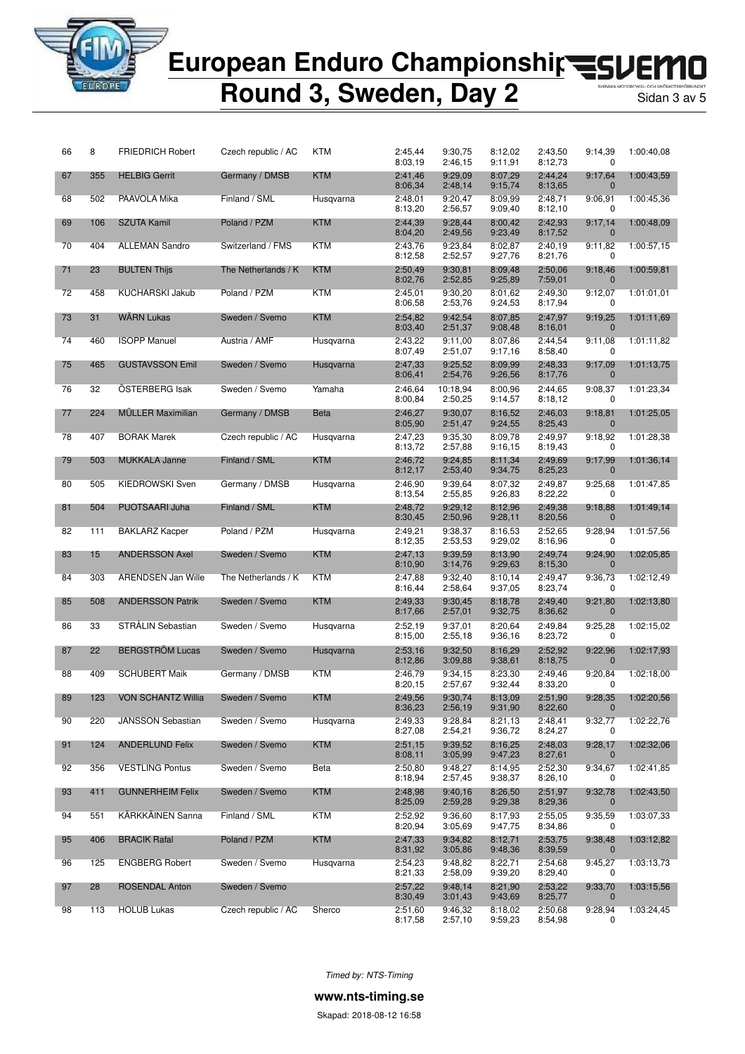

# European Enduro Championshir<br /> **EUROPEAN Enduro Championship<br />
<a>
FLOPEAN Enduro Championship<br />
<a>
FLOPEAN Enduro Championship<br />
<a>
FLOPEAN Enduro Championship<br />
<a>
FLOPEAN Enduro Championship<br />**

## **Round 3, Sweden, Day 2** Sidan 3 av 5

| 66 | 8   | <b>FRIEDRICH Robert</b>   | Czech republic / AC | KTM         | 2:45,44<br>8:03,19 | 9:30,75<br>2:46,15  | 8:12,02<br>9:11,91 | 2:43,50<br>8:12,73 | 9:14,39<br>0            | 1:00:40,08 |
|----|-----|---------------------------|---------------------|-------------|--------------------|---------------------|--------------------|--------------------|-------------------------|------------|
| 67 | 355 | <b>HELBIG Gerrit</b>      | Germany / DMSB      | <b>KTM</b>  | 2:41,46<br>8:06,34 | 9:29,09<br>2:48,14  | 8:07,29<br>9:15,74 | 2:44,24<br>8:13,65 | 9:17,64                 | 1:00:43,59 |
| 68 | 502 | PAAVOLA Mika              | Finland / SML       | Husqvarna   | 2:48,01<br>8:13,20 | 9:20,47<br>2:56,57  | 8:09,99<br>9:09,40 | 2:48,71<br>8:12,10 | 9:06,91<br>0            | 1:00:45,36 |
| 69 | 106 | <b>SZUTA Kamil</b>        | Poland / PZM        | <b>KTM</b>  | 2:44.39<br>8:04,20 | 9:28,44<br>2:49,56  | 8:00.42<br>9:23,49 | 2:42,93<br>8:17,52 | 9:17,14<br>$\mathbf{0}$ | 1:00:48,09 |
| 70 | 404 | <b>ALLEMAN Sandro</b>     | Switzerland / FMS   | KTM         | 2:43,76<br>8:12,58 | 9:23,84<br>2:52,57  | 8:02,87<br>9:27,76 | 2:40,19<br>8:21,76 | 9:11,82<br>0            | 1:00:57,15 |
| 71 | 23  | <b>BULTEN Thijs</b>       | The Netherlands / K | <b>KTM</b>  | 2:50,49<br>8:02,76 | 9:30,81<br>2:52,85  | 8:09,48<br>9:25,89 | 2:50,06<br>7:59,01 | 9:18,46<br>$\mathbf 0$  | 1:00:59,81 |
| 72 | 458 | <b>KUCHARSKI Jakub</b>    | Poland / PZM        | <b>KTM</b>  | 2:45.01<br>8:06,58 | 9:30,20<br>2:53,76  | 8:01.62<br>9:24,53 | 2:49,30<br>8:17,94 | 9:12,07<br>0            | 1:01:01,01 |
| 73 | 31  | <b>WARN Lukas</b>         | Sweden / Svemo      | <b>KTM</b>  | 2:54,82<br>8:03,40 | 9:42,54<br>2:51,37  | 8:07,85<br>9:08,48 | 2:47,97<br>8:16,01 | 9:19,25<br>$\mathbf{0}$ | 1:01:11.69 |
| 74 | 460 | <b>ISOPP Manuel</b>       | Austria / AMF       | Husqvarna   | 2:43,22<br>8:07,49 | 9:11,00<br>2:51,07  | 8:07.86<br>9:17,16 | 2:44,54<br>8:58,40 | 9:11,08<br>0            | 1:01:11,82 |
| 75 | 465 | <b>GUSTAVSSON Emil</b>    | Sweden / Svemo      | Husqvarna   | 2:47,33<br>8:06,41 | 9:25.52<br>2:54,76  | 8:09,99<br>9:26,56 | 2:48,33<br>8:17,76 | 9:17,09<br>$\mathbf 0$  | 1:01:13,75 |
| 76 | 32  | OSTERBERG Isak            | Sweden / Svemo      | Yamaha      | 2:46,64<br>8:00,84 | 10:18,94<br>2:50,25 | 8:00,96<br>9:14,57 | 2:44,65<br>8:18,12 | 9:08,37<br>0            | 1:01:23,34 |
| 77 | 224 | <b>MÜLLER Maximilian</b>  | Germany / DMSB      | <b>Beta</b> | 2:46,27<br>8:05,90 | 9:30,07<br>2:51,47  | 8:16,52<br>9:24,55 | 2:46,03<br>8:25,43 | 9:18,81<br>$\mathbf 0$  | 1:01:25,05 |
| 78 | 407 | <b>BORAK Marek</b>        | Czech republic / AC | Husqvarna   | 2:47,23<br>8:13,72 | 9:35,30<br>2:57,88  | 8:09,78<br>9:16,15 | 2:49,97<br>8:19,43 | 9:18,92<br>0            | 1:01:28,38 |
| 79 | 503 | <b>MUKKALA Janne</b>      | Finland / SML       | <b>KTM</b>  | 2:46,72<br>8:12,17 | 9:24,85<br>2:53,40  | 8:11,34<br>9:34,75 | 2:49,69<br>8:25,23 | 9:17,99<br>$\mathbf 0$  | 1:01:36,14 |
| 80 | 505 | <b>KIEDROWSKI Sven</b>    | Germany / DMSB      | Husqvarna   | 2:46,90<br>8:13,54 | 9:39.64<br>2:55,85  | 8:07,32<br>9:26,83 | 2:49,87<br>8:22,22 | 9:25,68<br>0            | 1:01:47.85 |
| 81 | 504 | PUOTSAARI Juha            | Finland / SML       | <b>KTM</b>  | 2:48,72<br>8:30,45 | 9:29,12<br>2:50,96  | 8:12,96<br>9:28,11 | 2:49,38<br>8:20,56 | 9:18,88<br>$\mathbf{0}$ | 1:01:49,14 |
| 82 | 111 | <b>BAKLARZ Kacper</b>     | Poland / PZM        | Husqvarna   | 2:49,21<br>8:12,35 | 9:38,37<br>2:53,53  | 8:16,53<br>9:29,02 | 2:52,65<br>8:16,96 | 9:28,94<br>0            | 1:01:57,56 |
| 83 | 15  | <b>ANDERSSON Axel</b>     | Sweden / Svemo      | <b>KTM</b>  | 2:47,13<br>8:10,90 | 9:39,59<br>3:14,76  | 8:13,90<br>9:29,63 | 2:49,74<br>8:15,30 | 9:24,90<br>$\mathbf 0$  | 1:02:05,85 |
| 84 | 303 | <b>ARENDSEN Jan Wille</b> | The Netherlands / K | KTM         | 2:47,88<br>8:16,44 | 9:32,40<br>2:58,64  | 8:10,14<br>9:37,05 | 2:49,47<br>8:23,74 | 9:36,73<br>0            | 1:02:12,49 |
| 85 | 508 | <b>ANDERSSON Patrik</b>   | Sweden / Svemo      | <b>KTM</b>  | 2:49,33<br>8:17,66 | 9:30,45<br>2:57,01  | 8:18,78<br>9:32,75 | 2:49,40<br>8:36,62 | 9:21,80<br>$\mathbf 0$  | 1:02:13,80 |
| 86 | 33  | STRÅLIN Sebastian         | Sweden / Svemo      | Husqvarna   | 2:52,19<br>8:15,00 | 9:37,01<br>2:55,18  | 8:20,64<br>9:36,16 | 2:49,84<br>8:23,72 | 9:25,28<br>0            | 1:02:15,02 |
| 87 | 22  | <b>BERGSTROM Lucas</b>    | Sweden / Svemo      | Husqvarna   | 2:53,16<br>8:12,86 | 9:32.50<br>3:09,88  | 8:16.29<br>9:38,61 | 2:52,92<br>8:18,75 | 9:22,96<br>$\mathbf 0$  | 1:02:17,93 |
| 88 | 409 | <b>SCHUBERT Maik</b>      | Germany / DMSB      | KTM         | 2:46,79<br>8:20,15 | 9:34,15<br>2:57,67  | 8:23,30<br>9:32,44 | 2:49,46<br>8:33,20 | 9:20,84<br>0            | 1:02:18,00 |
| 89 | 123 | <b>VON SCHANTZ Willia</b> | Sweden / Svemo      | <b>KTM</b>  | 2:49.56<br>8:36,23 | 9:30.74<br>2:56,19  | 8:13.09<br>9:31,90 | 2:51.90<br>8:22,60 | 9:28,35                 | 1:02:20,56 |
| 90 | 220 | <b>JANSSON Sebastian</b>  | Sweden / Svemo      | Husqvarna   | 2:49,33<br>8:27,08 | 9:28,84<br>2:54,21  | 8:21,13<br>9:36,72 | 2:48,41<br>8:24,27 | 9:32,77<br>0            | 1:02:22,76 |
| 91 | 124 | <b>ANDERLUND Felix</b>    | Sweden / Svemo      | <b>KTM</b>  | 2:51,15<br>8:08,11 | 9:39,52<br>3:05,99  | 8:16,25<br>9:47,23 | 2:48,03<br>8:27,61 | 9:28,17<br>$\bf{0}$     | 1:02:32,06 |
| 92 | 356 | <b>VESTLING Pontus</b>    | Sweden / Svemo      | Beta        | 2:50,80<br>8:18,94 | 9:48,27<br>2:57,45  | 8:14,95<br>9:38,37 | 2:52,30<br>8:26,10 | 9:34,67<br>0            | 1:02:41,85 |
| 93 | 411 | <b>GUNNERHEIM Felix</b>   | Sweden / Svemo      | <b>KTM</b>  | 2:48,98<br>8:25,09 | 9:40,16<br>2:59,28  | 8:26,50<br>9:29,38 | 2:51,97<br>8:29,36 | 9:32,78<br>$\bf{0}$     | 1:02:43,50 |
| 94 | 551 | KÄRKKÄINEN Sanna          | Finland / SML       | <b>KTM</b>  | 2:52,92<br>8:20,94 | 9:36,60<br>3:05,69  | 8:17,93<br>9:47,75 | 2:55,05<br>8:34,86 | 9:35,59<br>0            | 1:03:07,33 |
| 95 | 406 | <b>BRACIK Rafal</b>       | Poland / PZM        | <b>KTM</b>  | 2:47,33<br>8:31,92 | 9:34,82<br>3:05,86  | 8:12,71<br>9:48,36 | 2:53,75<br>8:39,59 | 9:38,48<br>$\mathbf 0$  | 1:03:12,82 |
| 96 | 125 | <b>ENGBERG Robert</b>     | Sweden / Svemo      | Husqvarna   | 2:54.23<br>8:21,33 | 9:48.82<br>2:58,09  | 8:22,71<br>9:39,20 | 2:54.68<br>8:29,40 | 9:45,27<br>0            | 1:03:13,73 |
| 97 | 28  | <b>ROSENDAL Anton</b>     | Sweden / Svemo      |             | 2:57,22<br>8:30,49 | 9:48,14<br>3:01,43  | 8:21,90<br>9:43,69 | 2:53,22<br>8:25,77 | 9:33,70<br>$\mathbf 0$  | 1:03:15,56 |
| 98 | 113 | <b>HOLUB Lukas</b>        | Czech republic / AC | Sherco      | 2:51,60<br>8:17,58 | 9:46,32<br>2:57,10  | 8:18,02<br>9:59,23 | 2:50,68<br>8:54,98 | 9:28,94<br>0            | 1:03:24,45 |

*Timed by: NTS-Timing*

**www.nts-timing.se**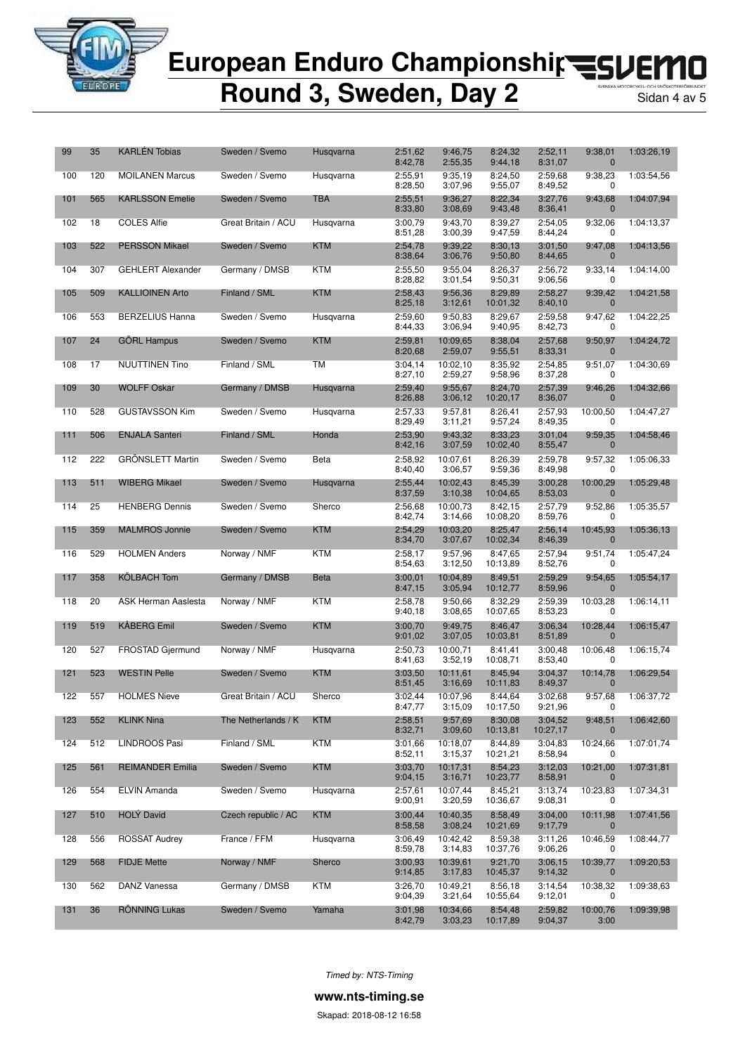

## **Round 3, Sweden, Day 2**

| 99  | 35  | <b>KARLÉN Tobias</b>     | Sweden / Svemo      | Husqvarna   | 2:51,62<br>8:42,78 | 9:46,75<br>2:55,35  | 8:24,32<br>9:44,18  | 2:52,11<br>8:31,07  | 9:38,01<br>$\bf{0}$         | 1:03:26,19 |
|-----|-----|--------------------------|---------------------|-------------|--------------------|---------------------|---------------------|---------------------|-----------------------------|------------|
| 100 | 120 | <b>MOILANEN Marcus</b>   | Sweden / Svemo      | Husqvarna   | 2:55,91<br>8:28,50 | 9:35,19<br>3:07,96  | 8:24,50<br>9:55,07  | 2:59,68<br>8:49,52  | 9:38,23<br>0                | 1:03:54,56 |
| 101 | 565 | <b>KARLSSON Emelie</b>   | Sweden / Svemo      | TBA         | 2:55,51<br>8:33,80 | 9:36,27<br>3:08,69  | 8:22,34<br>9:43,48  | 3:27,76<br>8:36,41  | 9:43,68<br>$\mathbf 0$      | 1:04:07,94 |
| 102 | 18  | <b>COLES Alfie</b>       | Great Britain / ACU | Husqvarna   | 3:00,79<br>8:51,28 | 9:43,70<br>3:00,39  | 8:39,27<br>9:47,59  | 2:54,05<br>8:44,24  | 9:32,06<br>0                | 1:04:13,37 |
| 103 | 522 | <b>PERSSON Mikael</b>    | Sweden / Svemo      | <b>KTM</b>  | 2:54,78<br>8:38,64 | 9:39,22<br>3:06,76  | 8:30,13<br>9:50,80  | 3:01,50<br>8:44,65  | 9:47,08<br>0                | 1:04:13,56 |
| 104 | 307 | <b>GEHLERT Alexander</b> | Germany / DMSB      | KTM         | 2:55,50<br>8:28,82 | 9:55,04<br>3:01,54  | 8:26,37<br>9:50,31  | 2:56,72<br>9:06,56  | 9:33,14<br>0                | 1:04:14,00 |
| 105 | 509 | <b>KALLIOINEN Arto</b>   | Finland / SML       | <b>KTM</b>  | 2:58,43<br>8:25,18 | 9:56,36<br>3:12,61  | 8:29.89<br>10:01,32 | 2:58,27<br>8:40,10  | 9:39,42<br>$\mathbf 0$      | 1:04:21,58 |
| 106 | 553 | <b>BERZELIUS Hanna</b>   | Sweden / Svemo      | Husqvarna   | 2:59,60<br>8:44,33 | 9:50,83<br>3:06,94  | 8:29,67<br>9:40,95  | 2:59,58<br>8:42,73  | 9:47,62<br>0                | 1:04:22,25 |
| 107 | 24  | <b>GORL Hampus</b>       | Sweden / Svemo      | <b>KTM</b>  | 2:59,81<br>8:20,68 | 10:09,65<br>2:59,07 | 8:38,04<br>9:55,51  | 2:57,68<br>8:33,31  | 9:50,97<br>$\mathbf 0$      | 1:04:24,72 |
| 108 | 17  | <b>NUUTTINEN Tino</b>    | Finland / SML       | <b>TM</b>   | 3:04,14<br>8:27,10 | 10:02,10<br>2:59,27 | 8:35,92<br>9:58,96  | 2:54,85<br>8:37,28  | 9:51,07<br>0                | 1:04:30,69 |
| 109 | 30  | <b>WOLFF Oskar</b>       | Germany / DMSB      | Husqvarna   | 2:59,40<br>8:26,88 | 9:55,67<br>3:06,12  | 8:24,70<br>10:20,17 | 2:57,39<br>8:36,07  | 9:46,26<br>0                | 1:04:32,66 |
| 110 | 528 | <b>GUSTAVSSON Kim</b>    | Sweden / Svemo      | Husqvarna   | 2:57,33<br>8:29,49 | 9:57,81<br>3:11,21  | 8:26.41<br>9:57,24  | 2:57,93<br>8:49,35  | 10:00,50<br>0               | 1:04:47.27 |
| 111 | 506 | <b>ENJALA Santeri</b>    | Finland / SML       | Honda       | 2:53,90<br>8:42,16 | 9:43,32<br>3:07,59  | 8:33,23<br>10:02,40 | 3:01,04<br>8:55,47  | 9:59,35<br>$\mathbf 0$      | 1:04:58,46 |
| 112 | 222 | <b>GRÖNSLETT Martin</b>  | Sweden / Svemo      | Beta        | 2:58,92<br>8:40,40 | 10:07.61<br>3:06,57 | 8:26,39<br>9:59,36  | 2:59,78<br>8:49,98  | 9:57,32<br>0                | 1:05:06.33 |
| 113 | 511 | <b>WIBERG Mikael</b>     | Sweden / Svemo      | Husqvarna   | 2:55,44<br>8:37,59 | 10:02,43<br>3:10,38 | 8:45,39<br>10:04,65 | 3:00,28<br>8:53,03  | 10:00,29<br>$\bf{0}$        | 1:05:29,48 |
| 114 | 25  | <b>HENBERG Dennis</b>    | Sweden / Svemo      | Sherco      | 2:56,68<br>8:42,74 | 10:00,73<br>3:14,66 | 8:42,15<br>10:08,20 | 2:57,79<br>8:59,76  | 9:52,86<br>0                | 1:05:35,57 |
| 115 | 359 | <b>MALMROS Jonnie</b>    | Sweden / Svemo      | <b>KTM</b>  | 2:54,29<br>8:34,70 | 10:03,20<br>3:07,67 | 8:25,47<br>10:02,34 | 2:56,14<br>8:46,39  | 10:45,93<br>$\mathbf 0$     | 1:05:36,13 |
| 116 | 529 | <b>HOLMEN Anders</b>     | Norway / NMF        | KTM         | 2:58,17<br>8:54,63 | 9:57,96<br>3:12,50  | 8:47.65<br>10:13,89 | 2:57,94<br>8:52,76  | 9:51,74<br>0                | 1:05:47,24 |
| 117 | 358 | <b>KOLBACH Tom</b>       | Germany / DMSB      | <b>Beta</b> | 3:00,01<br>8:47,15 | 10:04,89<br>3:05,94 | 8:49,51<br>10:12,77 | 2:59,29<br>8:59,96  | 9:54,65<br>$\boldsymbol{0}$ | 1:05:54,17 |
| 118 | 20  | ASK Herman Aaslesta      | Norway / NMF        | KTM         | 2:58,78<br>9:40,18 | 9:50,66<br>3:08,65  | 8:32,29<br>10:07,65 | 2:59,39<br>8:53,23  | 10:03,28<br>0               | 1:06:14,11 |
| 119 | 519 | <b>KÅBERG Emil</b>       | Sweden / Svemo      | <b>KTM</b>  | 3:00,70<br>9:01,02 | 9:49,75<br>3:07,05  | 8:46,47<br>10:03,81 | 3:06,34<br>8:51,89  | 10:28,44<br>0               | 1:06:15,47 |
| 120 | 527 | FROSTAD Gjermund         | Norway / NMF        | Husqvarna   | 2:50,73<br>8:41,63 | 10:00,71<br>3:52,19 | 8:41,41<br>10:08,71 | 3:00,48<br>8:53,40  | 10:06,48<br>0               | 1:06:15,74 |
| 121 | 523 | <b>WESTIN Pelle</b>      | Sweden / Svemo      | <b>KTM</b>  | 3:03,50<br>8:51,45 | 10:11,61<br>3:16,69 | 8:45,94<br>10:11,83 | 3:04,37<br>8:49,37  | 10:14,78<br>$\mathbf 0$     | 1:06:29,54 |
| 122 | 557 | <b>HOLMES Nieve</b>      | Great Britain / ACU | Sherco      | 3:02,44<br>8:47,77 | 10:07,96<br>3:15,09 | 8:44,64<br>10:17,50 | 3:02.68<br>9:21,96  | 9:57,68                     | 1:06:37,72 |
| 123 | 552 | <b>KLINK Nina</b>        | The Netherlands / K | <b>KTM</b>  | 2:58,51<br>8:32,71 | 9:57,69<br>3:09,60  | 8:30,08<br>10:13,81 | 3:04,52<br>10:27,17 | 9:48,51<br>$\bf{0}$         | 1:06:42,60 |
| 124 | 512 | LINDROOS Pasi            | Finland / SML       | <b>KTM</b>  | 3:01,66<br>8:52,11 | 10:18,07<br>3:15,37 | 8:44.89<br>10:21,21 | 3:04,83<br>8:58,94  | 10:24,66<br>0               | 1:07:01.74 |
| 125 | 561 | <b>REIMANDER Emilia</b>  | Sweden / Svemo      | <b>KTM</b>  | 3:03,70<br>9:04,15 | 10:17,31<br>3:16,71 | 8:54,23<br>10:23,77 | 3:12,03<br>8:58,91  | 10:21,00<br>0               | 1:07:31,81 |
| 126 | 554 | <b>ELVIN Amanda</b>      | Sweden / Svemo      | Husqvarna   | 2:57,61<br>9:00,91 | 10:07,44<br>3:20,59 | 8:45,21<br>10:36,67 | 3:13,74<br>9:08,31  | 10:23,83<br>0               | 1:07:34,31 |
| 127 | 510 | <b>HOLY David</b>        | Czech republic / AC | <b>KTM</b>  | 3:00,44<br>8:58,58 | 10:40,35<br>3:08,24 | 8:58,49<br>10:21,69 | 3:04,00<br>9:17,79  | 10:11,98<br>$\mathbf 0$     | 1:07:41.56 |
| 128 | 556 | <b>ROSSAT Audrey</b>     | France / FFM        | Husqvarna   | 3:06,49<br>8:59,78 | 10:42,42<br>3:14,83 | 8:59,38<br>10:37,76 | 3:11,26<br>9:06,26  | 10:46,59<br>0               | 1:08:44,77 |
| 129 | 568 | <b>FIDJE Mette</b>       | Norway / NMF        | Sherco      | 3:00.93<br>9:14,85 | 10:39,61<br>3:17,83 | 9:21,70<br>10:45,37 | 3:06,15<br>9:14,32  | 10:39,77<br>$\bf{0}$        | 1:09:20,53 |
| 130 | 562 | DANZ Vanessa             | Germany / DMSB      | KTM         | 3:26,70<br>9:04,39 | 10:49,21<br>3:21,64 | 8:56,18<br>10:55,64 | 3:14,54<br>9:12,01  | 10:38,32<br>0               | 1:09:38,63 |
| 131 | 36  | <b>RONNING Lukas</b>     | Sweden / Svemo      | Yamaha      | 3:01,98<br>8:42,79 | 10:34,66<br>3:03,23 | 8:54,48<br>10:17,89 | 2:59,82<br>9:04,37  | 10:00,76<br>3:00            | 1:09:39,98 |

*Timed by: NTS-Timing*

**www.nts-timing.se**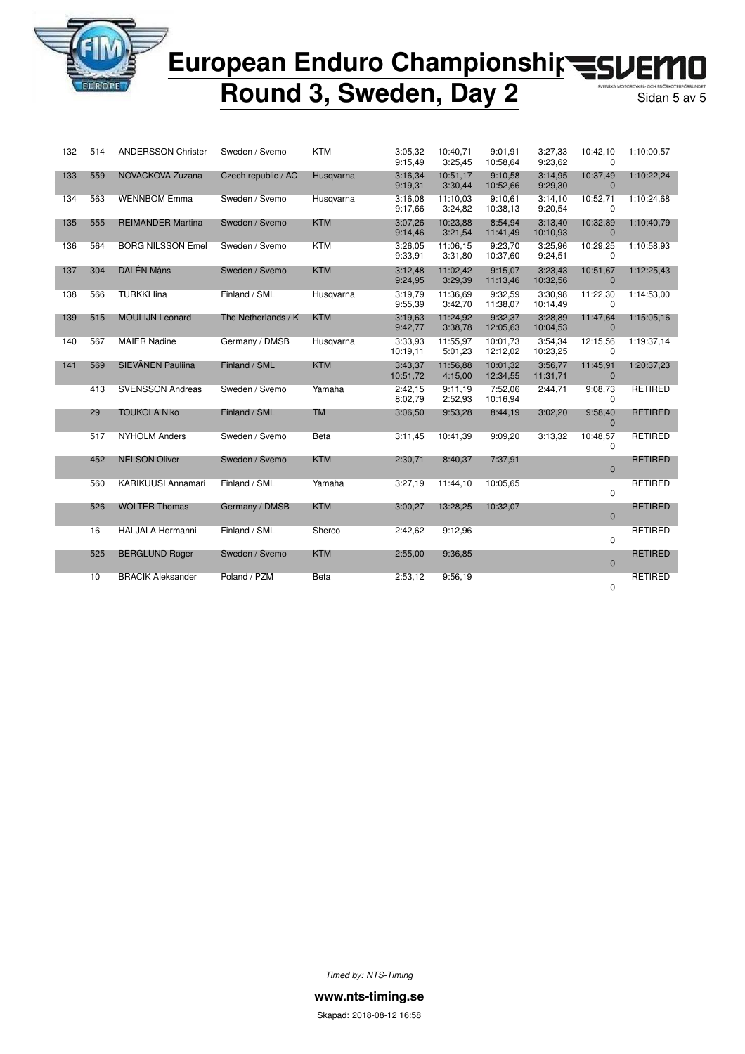

### European Enduro Championshir<br /> **EUROPED** П

## **Round 3, Sweden, Day 2**

| 132 | 514 | <b>ANDERSSON Christer</b> | Sweden / Svemo      | <b>KTM</b>  | 3:05,32<br>9:15,49  | 10:40.71<br>3:25,45 | 9:01.91<br>10:58,64  | 3:27,33<br>9:23,62  | 10:42,10<br>$\Omega$ | 1:10:00.57     |
|-----|-----|---------------------------|---------------------|-------------|---------------------|---------------------|----------------------|---------------------|----------------------|----------------|
| 133 | 559 | NOVACKOVA Zuzana          | Czech republic / AC | Husgvarna   | 3:16,34<br>9:19,31  | 10:51.17<br>3:30,44 | 9:10.58<br>10:52,66  | 3:14.95<br>9:29,30  | 10:37,49<br>$\Omega$ | 1:10:22,24     |
| 134 | 563 | <b>WENNBOM Emma</b>       | Sweden / Svemo      | Husgvarna   | 3:16.08<br>9:17,66  | 11:10.03<br>3:24,82 | 9:10,61<br>10:38,13  | 3:14,10<br>9:20,54  | 10:52,71<br>$\Omega$ | 1:10:24,68     |
| 135 | 555 | <b>REIMANDER Martina</b>  | Sweden / Svemo      | <b>KTM</b>  | 3:07,26<br>9:14,46  | 10:23,88<br>3:21,54 | 8:54,94<br>11:41,49  | 3:13,40<br>10:10,93 | 10:32,89<br>$\Omega$ | 1:10:40,79     |
| 136 | 564 | <b>BORG NILSSON Emel</b>  | Sweden / Svemo      | <b>KTM</b>  | 3:26.05<br>9:33,91  | 11:06,15<br>3:31,80 | 9:23,70<br>10:37,60  | 3:25,96<br>9:24,51  | 10:29,25<br>0        | 1:10:58.93     |
| 137 | 304 | DALÉN Måns                | Sweden / Svemo      | <b>KTM</b>  | 3:12,48<br>9:24,95  | 11:02,42<br>3:29,39 | 9:15,07<br>11:13,46  | 3:23,43<br>10:32,56 | 10:51,67<br>$\Omega$ | 1:12:25,43     |
| 138 | 566 | <b>TURKKI lina</b>        | Finland / SML       | Husgvarna   | 3:19.79<br>9:55,39  | 11:36.69<br>3:42,70 | 9:32.59<br>11:38,07  | 3:30,98<br>10:14,49 | 11:22,30<br>$\Omega$ | 1:14:53.00     |
| 139 | 515 | <b>MOULIJN Leonard</b>    | The Netherlands / K | <b>KTM</b>  | 3:19.63<br>9:42,77  | 11:24.92<br>3:38,78 | 9:32.37<br>12:05,63  | 3:28.89<br>10:04,53 | 11:47,64<br>$\Omega$ | 1:15:05.16     |
| 140 | 567 | <b>MAIER Nadine</b>       | Germany / DMSB      | Husgvarna   | 3:33,93<br>10:19,11 | 11:55,97<br>5:01.23 | 10:01.73<br>12:12,02 | 3:54,34<br>10:23,25 | 12:15,56<br>$\Omega$ | 1:19:37.14     |
| 141 | 569 | SIEVÄNEN Pauliina         | Finland / SML       | <b>KTM</b>  | 3:43.37<br>10:51,72 | 11:56.88<br>4:15,00 | 10:01,32<br>12:34,55 | 3:56,77<br>11:31,71 | 11:45,91<br>$\Omega$ | 1:20:37,23     |
|     | 413 | <b>SVENSSON Andreas</b>   | Sweden / Svemo      | Yamaha      | 2:42,15<br>8:02,79  | 9:11,19<br>2:52,93  | 7:52,06<br>10:16,94  | 2:44,71             | 9:08,73<br>$\Omega$  | <b>RETIRED</b> |
|     | 29  | <b>TOUKOLA Niko</b>       | Finland / SML       | <b>TM</b>   | 3:06,50             | 9:53,28             | 8:44,19              | 3:02,20             | 9:58,40<br>$\Omega$  | <b>RETIRED</b> |
|     | 517 | <b>NYHOLM Anders</b>      | Sweden / Svemo      | Beta        | 3:11,45             | 10:41.39            | 9:09,20              | 3:13.32             | 10:48,57<br>0        | <b>RETIRED</b> |
|     | 452 | <b>NELSON Oliver</b>      | Sweden / Svemo      | <b>KTM</b>  | 2:30,71             | 8:40,37             | 7:37,91              |                     | $\mathbf{0}$         | <b>RETIRED</b> |
|     | 560 | <b>KARIKUUSI Annamari</b> | Finland / SML       | Yamaha      | 3:27,19             | 11:44,10            | 10:05.65             |                     | 0                    | <b>RETIRED</b> |
|     | 526 | <b>WOLTER Thomas</b>      | Germany / DMSB      | <b>KTM</b>  | 3:00,27             | 13:28,25            | 10:32,07             |                     | $\mathbf{0}$         | <b>RETIRED</b> |
|     | 16  | <b>HALJALA Hermanni</b>   | Finland / SML       | Sherco      | 2:42.62             | 9:12.96             |                      |                     | 0                    | <b>RETIRED</b> |
|     | 525 | <b>BERGLUND Roger</b>     | Sweden / Svemo      | <b>KTM</b>  | 2:55,00             | 9:36.85             |                      |                     | $\mathbf{0}$         | <b>RETIRED</b> |
|     | 10  | <b>BRACIK Aleksander</b>  | Poland / PZM        | <b>Beta</b> | 2:53,12             | 9:56,19             |                      |                     | 0                    | <b>RETIRED</b> |

*Timed by: NTS-Timing*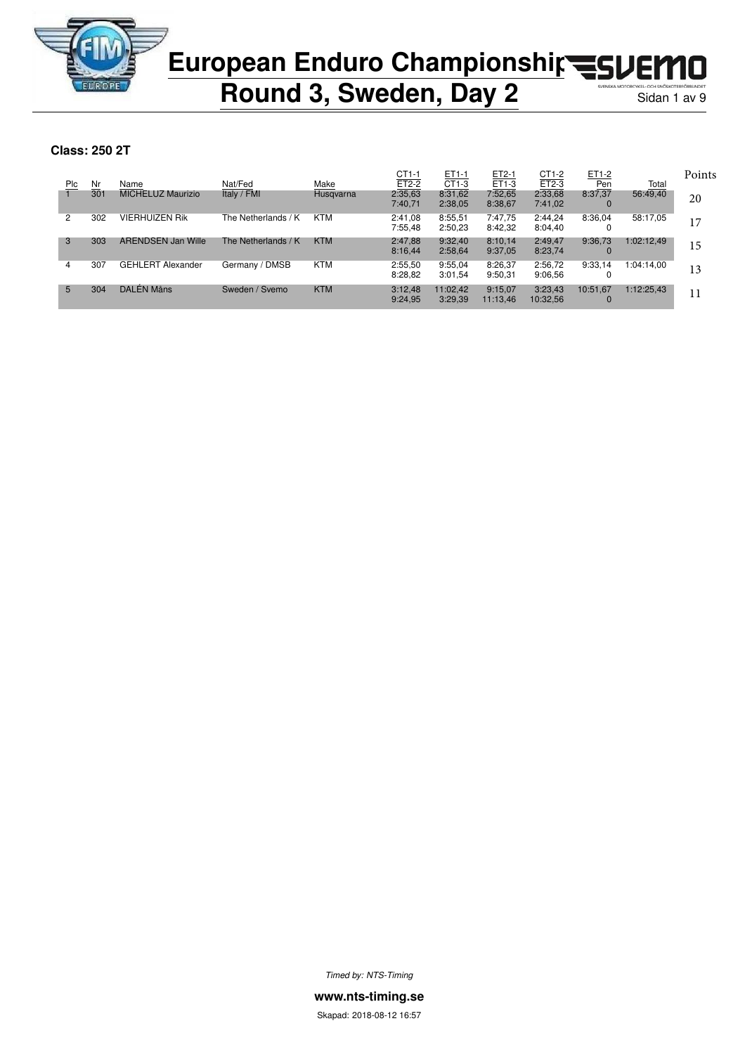

**Round 3, Sweden, Day 2** 

**Class: 250 2T**

|     |     |                           |                     |            | CT1-1   | ET1-1    | ET2-1    | $CT1-2$  | ET1-2    |              | Points |
|-----|-----|---------------------------|---------------------|------------|---------|----------|----------|----------|----------|--------------|--------|
| Plc | Nr  | Name                      | Nat/Fed             | Make       | ET2-2   | $CT1-3$  | ET1-3    | $ET2-3$  | Pen      | <u>Total</u> |        |
|     | 301 | <b>MICHELUZ Maurizio</b>  | Italy / FMI         | Husgvarna  | 2:35,63 | 8:31,62  | 7:52,65  | 2:33,68  | 8:37,37  | 56:49.40     | 20     |
|     |     |                           |                     |            | 7:40,71 | 2:38,05  | 8:38,67  | 7:41,02  | 0        |              |        |
| 2   | 302 | <b>VIERHUIZEN Rik</b>     | The Netherlands / K | KTM        | 2:41.08 | 8:55,51  | 7:47.75  | 2:44,24  | 8:36,04  | 58:17.05     | 17     |
|     |     |                           |                     |            | 7:55.48 | 2:50,23  | 8:42,32  | 8:04,40  | 0        |              |        |
| 3   | 303 | <b>ARENDSEN Jan Wille</b> | The Netherlands / K | <b>KTM</b> | 2:47,88 | 9:32.40  | 8:10.14  | 2:49,47  | 9:36.73  | 1:02:12.49   | 15     |
|     |     |                           |                     |            | 8:16,44 | 2:58,64  | 9:37,05  | 8:23,74  |          |              |        |
| 4   | 307 | <b>GEHLERT Alexander</b>  | Germany / DMSB      | <b>KTM</b> | 2:55,50 | 9:55.04  | 8:26.37  | 2:56,72  | 9:33.14  | 1:04:14.00   | 13     |
|     |     |                           |                     |            | 8:28,82 | 3:01,54  | 9:50,31  | 9:06.56  | υ        |              |        |
| 5   | 304 | DALÉN Måns                | Sweden / Svemo      | <b>KTM</b> | 3:12,48 | 11:02.42 | 9:15,07  | 3:23,43  | 10:51.67 | 1:12:25.43   | 11     |
|     |     |                           |                     |            | 9:24,95 | 3:29,39  | 11:13,46 | 10:32,56 | 0        |              |        |
|     |     |                           |                     |            |         |          |          |          |          |              |        |

*Timed by: NTS-Timing*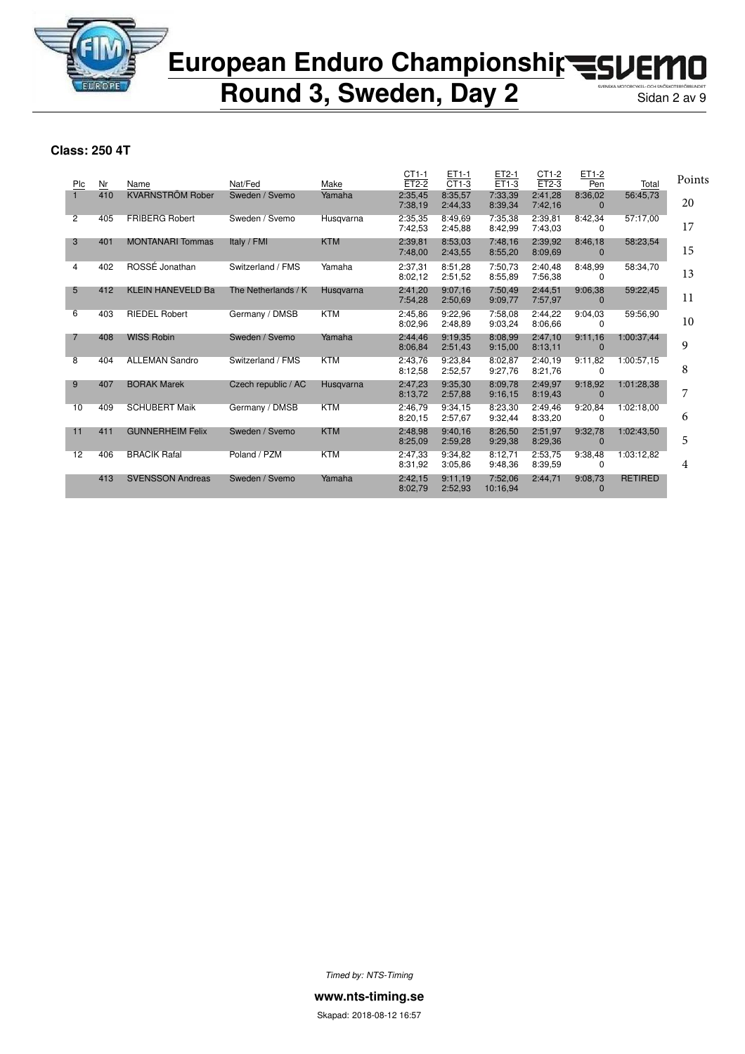

**Round 3, Sweden, Day 2** 

### **Class: 250 4T**

|                |     |                          |                     |            | $CT1-1$            | ET1-1              | ET2-1               | CT1-2              | ET1-2                   |                | Points |
|----------------|-----|--------------------------|---------------------|------------|--------------------|--------------------|---------------------|--------------------|-------------------------|----------------|--------|
| Plc            | Nr  | Name                     | Nat/Fed             | Make       | ET2-2              | $CT1-3$            | ET1-3               | $ET2-3$            | Pen                     | Total          |        |
|                | 410 | <b>KVARNSTRÖM Rober</b>  | Sweden / Svemo      | Yamaha     | 2:35,45<br>7:38,19 | 8:35.57<br>2:44,33 | 7:33,39<br>8:39,34  | 2:41.28<br>7:42,16 | 8:36,02<br>$\mathbf{0}$ | 56:45,73       | 20     |
| $\overline{2}$ | 405 | <b>FRIBERG Robert</b>    | Sweden / Svemo      | Husgvarna  | 2:35,35<br>7:42,53 | 8:49.69<br>2:45,88 | 7:35,38<br>8:42,99  | 2:39.81<br>7:43.03 | 8:42,34<br>0            | 57:17.00       | 17     |
| 3              | 401 | <b>MONTANARI Tommas</b>  | Italy / FMI         | <b>KTM</b> | 2:39,81<br>7:48,00 | 8:53,03<br>2:43,55 | 7:48.16<br>8:55,20  | 2:39,92<br>8:09.69 | 8:46,18<br>$\Omega$     | 58:23,54       | 15     |
| 4              | 402 | ROSSÉ Jonathan           | Switzerland / FMS   | Yamaha     | 2:37.31<br>8:02,12 | 8:51.28<br>2:51,52 | 7:50.73<br>8:55.89  | 2:40.48<br>7:56,38 | 8:48.99<br>0            | 58:34,70       | 13     |
| 5              | 412 | <b>KLEIN HANEVELD Ba</b> | The Netherlands / K | Husgvarna  | 2:41,20<br>7:54,28 | 9:07.16<br>2:50.69 | 7:50,49<br>9:09,77  | 2:44,51<br>7:57,97 | 9:06.38<br>$\mathbf{0}$ | 59:22,45       | 11     |
| 6              | 403 | <b>RIEDEL Robert</b>     | Germany / DMSB      | <b>KTM</b> | 2:45.86<br>8:02.96 | 9:22.96<br>2:48,89 | 7:58.08<br>9:03,24  | 2:44.22<br>8:06.66 | 9:04.03<br>0            | 59:56,90       | 10     |
| 7              | 408 | <b>WISS Robin</b>        | Sweden / Svemo      | Yamaha     | 2:44,46<br>8:06.84 | 9:19.35<br>2:51,43 | 8:08.99<br>9:15,00  | 2:47.10<br>8:13,11 | 9:11,16<br>$\mathbf{0}$ | 1:00:37,44     | 9      |
| 8              | 404 | <b>ALLEMAN Sandro</b>    | Switzerland / FMS   | <b>KTM</b> | 2:43,76<br>8:12,58 | 9:23.84<br>2:52,57 | 8:02.87<br>9:27,76  | 2:40.19<br>8:21,76 | 9:11.82<br>0            | 1:00:57,15     | 8      |
| 9              | 407 | <b>BORAK Marek</b>       | Czech republic / AC | Husgvarna  | 2:47,23<br>8:13,72 | 9:35,30<br>2:57,88 | 8:09,78<br>9:16,15  | 2:49.97<br>8:19,43 | 9:18,92<br>$\mathbf{0}$ | 1:01:28,38     | 7      |
| 10             | 409 | <b>SCHUBERT Maik</b>     | Germany / DMSB      | <b>KTM</b> | 2:46.79<br>8:20,15 | 9:34.15<br>2:57,67 | 8:23.30<br>9:32,44  | 2:49.46<br>8:33,20 | 9:20,84<br>0            | 1:02:18.00     | 6      |
| 11             | 411 | <b>GUNNERHEIM Felix</b>  | Sweden / Svemo      | <b>KTM</b> | 2:48,98<br>8:25,09 | 9:40,16<br>2:59,28 | 8:26,50<br>9:29,38  | 2:51,97<br>8:29,36 | 9:32,78<br>$\mathbf{0}$ | 1:02:43,50     | 5      |
| 12             | 406 | <b>BRACIK Rafal</b>      | Poland / PZM        | <b>KTM</b> | 2:47,33<br>8:31,92 | 9:34.82<br>3:05.86 | 8:12,71<br>9:48.36  | 2:53.75<br>8:39,59 | 9:38,48<br>$\Omega$     | 1:03:12,82     | 4      |
|                | 413 | <b>SVENSSON Andreas</b>  | Sweden / Svemo      | Yamaha     | 2:42,15<br>8:02,79 | 9:11,19<br>2:52,93 | 7:52,06<br>10:16,94 | 2:44,71            | 9:08,73<br>$\mathbf{0}$ | <b>RETIRED</b> |        |

*Timed by: NTS-Timing*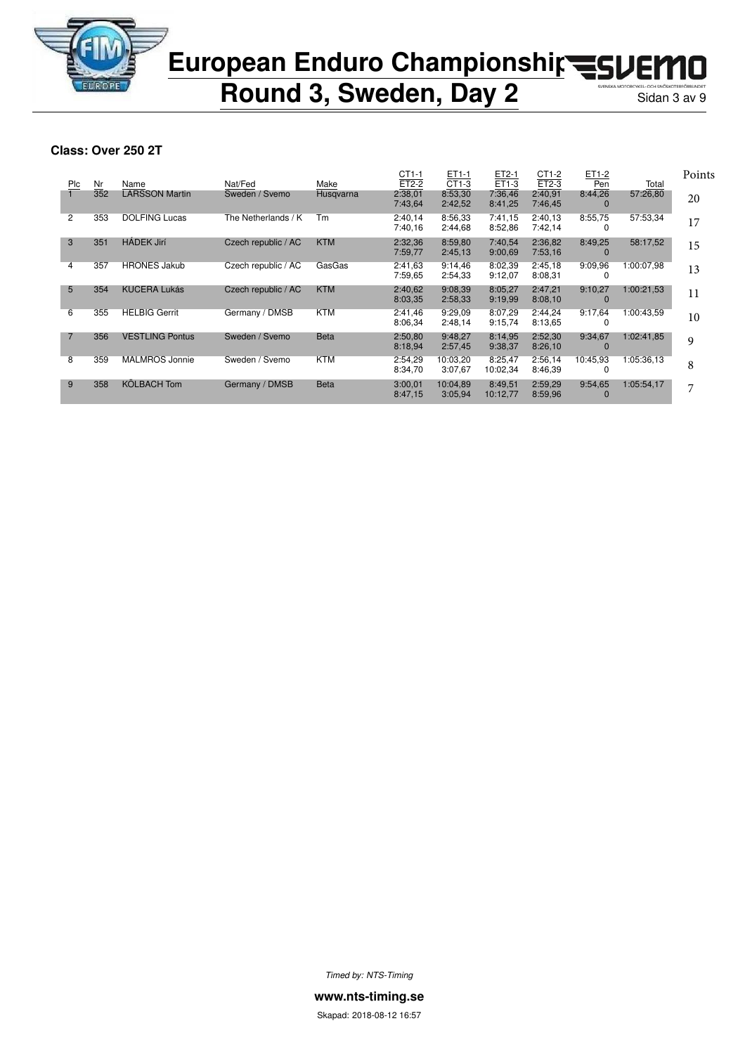

**Round 3, Sweden, Day 2** 

### **Class: Over 250 2T**

|     |     |                        |                     |             | $CT1-1$ | ET1-1    | ET2-1    | CT1-2   | ET1-2        |            | Points |
|-----|-----|------------------------|---------------------|-------------|---------|----------|----------|---------|--------------|------------|--------|
| Plc | Nr  | Name                   | Nat/Fed             | Make        | $ET2-2$ | CT1-3    | ET1-3    | $ET2-3$ | Pen          | Total      |        |
|     | 352 | <b>LARSSON Martin</b>  | Sweden / Svemo      | Husqvarna   | 2:38,01 | 8:53,30  | 7:36,46  | 2:40,91 | 8:44.26      | 57:26,80   | 20     |
|     |     |                        |                     |             | 7:43,64 | 2:42,52  | 8:41,25  | 7:46,45 | 0            |            |        |
| 2   | 353 | <b>DOLFING Lucas</b>   | The Netherlands / K | Тm          | 2:40,14 | 8:56,33  | 7:41.15  | 2:40,13 | 8:55,75      | 57:53,34   | 17     |
|     |     |                        |                     |             | 7:40.16 | 2:44,68  | 8:52,86  | 7:42,14 | 0            |            |        |
| 3   | 351 | <b>HÁDEK Jirí</b>      | Czech republic / AC | <b>KTM</b>  | 2:32,36 | 8:59,80  | 7:40,54  | 2:36,82 | 8:49.25      | 58:17,52   | 15     |
|     |     |                        |                     |             | 7:59,77 | 2:45,13  | 9:00,69  | 7:53,16 | $\Omega$     |            |        |
| 4   | 357 | <b>HRONES Jakub</b>    | Czech republic / AC | GasGas      | 2:41,63 | 9:14.46  | 8:02.39  | 2:45,18 | 9:09.96      | 1:00:07.98 | 13     |
|     |     |                        |                     |             | 7:59.65 | 2:54,33  | 9:12,07  | 8:08,31 | 0            |            |        |
| 5   | 354 | <b>KUCERA Lukás</b>    | Czech republic / AC | <b>KTM</b>  | 2:40,62 | 9:08.39  | 8:05,27  | 2:47,21 | 9:10,27      | 1:00:21,53 | 11     |
|     |     |                        |                     |             | 8:03,35 | 2:58,33  | 9:19,99  | 8:08,10 | $\mathbf{0}$ |            |        |
| 6   | 355 | <b>HELBIG Gerrit</b>   | Germany / DMSB      | <b>KTM</b>  | 2:41,46 | 9:29.09  | 8:07.29  | 2:44,24 | 9:17,64      | 1:00:43.59 | 10     |
|     |     |                        |                     |             | 8:06,34 | 2:48,14  | 9:15,74  | 8:13.65 | 0            |            |        |
| 7   | 356 | <b>VESTLING Pontus</b> | Sweden / Svemo      | <b>Beta</b> | 2:50,80 | 9:48,27  | 8:14,95  | 2:52,30 | 9:34,67      | 1:02:41.85 | 9      |
|     |     |                        |                     |             | 8:18,94 | 2:57,45  | 9:38,37  | 8:26,10 | $\bf{0}$     |            |        |
| 8   | 359 | <b>MALMROS Jonnie</b>  | Sweden / Svemo      | KTM         | 2:54,29 | 10:03.20 | 8:25,47  | 2:56,14 | 10:45.93     | 1:05:36.13 |        |
|     |     |                        |                     |             | 8:34,70 | 3:07.67  | 10:02,34 | 8:46,39 | 0            |            | 8      |
| 9   | 358 | <b>KÖLBACH Tom</b>     | Germany / DMSB      | <b>Beta</b> | 3:00,01 | 10:04,89 | 8:49,51  | 2:59,29 | 9:54,65      | 1:05:54,17 | 7      |
|     |     |                        |                     |             | 8:47,15 | 3:05,94  | 10:12,77 | 8:59,96 | $\Omega$     |            |        |
|     |     |                        |                     |             |         |          |          |         |              |            |        |

*Timed by: NTS-Timing*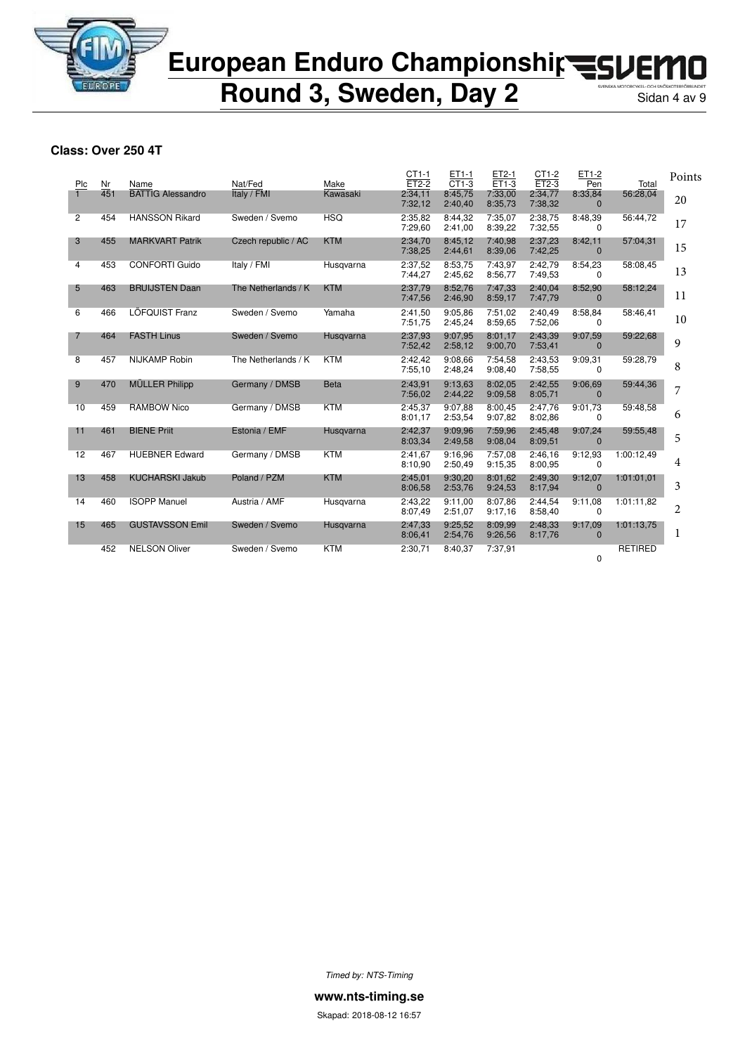

**Round 3, Sweden, Day 2** 

### **Class: Over 250 4T**

| Plc            | Nr  | Name                     | Nat/Fed             | Make        | CT1-1<br>$ET2-2$   | ET1-1<br>$CT1-3$   | ET2-1<br>$ET1-3$   | CT1-2<br>$ET2-3$   | ET1-2<br>Pen            | Total          | Points         |
|----------------|-----|--------------------------|---------------------|-------------|--------------------|--------------------|--------------------|--------------------|-------------------------|----------------|----------------|
|                | 451 | <b>BATTIG Alessandro</b> | Italy / FMI         | Kawasaki    | 2:34,11<br>7:32,12 | 8:45,75<br>2:40,40 | 7:33,00<br>8:35,73 | 2:34,77<br>7:38,32 | 8:33,84<br>$\Omega$     | 56:28,04       | 20             |
| $\overline{2}$ | 454 | <b>HANSSON Rikard</b>    | Sweden / Svemo      | <b>HSQ</b>  | 2:35,82<br>7:29,60 | 8:44.32<br>2:41,00 | 7:35,07<br>8:39,22 | 2:38,75<br>7:32,55 | 8:48,39<br>$\Omega$     | 56:44.72       | 17             |
| 3              | 455 | <b>MARKVART Patrik</b>   | Czech republic / AC | <b>KTM</b>  | 2:34.70<br>7:38,25 | 8:45.12<br>2:44,61 | 7:40.98<br>8:39,06 | 2:37.23<br>7:42,25 | 8:42,11<br>$\Omega$     | 57:04,31       | 15             |
| 4              | 453 | <b>CONFORTI Guido</b>    | Italy / FMI         | Husgvarna   | 2:37,52<br>7:44,27 | 8:53,75<br>2:45,62 | 7:43,97<br>8:56,77 | 2:42,79<br>7:49.53 | 8:54,23<br>0            | 58:08,45       | 13             |
| 5              | 463 | <b>BRUIJSTEN Daan</b>    | The Netherlands / K | <b>KTM</b>  | 2:37,79<br>7:47,56 | 8:52.76<br>2:46,90 | 7:47.33<br>8:59,17 | 2:40.04<br>7:47,79 | 8:52,90<br>$\mathbf{0}$ | 58:12,24       | 11             |
| 6              | 466 | <b>LÖFQUIST Franz</b>    | Sweden / Svemo      | Yamaha      | 2:41,50<br>7:51.75 | 9:05.86<br>2:45,24 | 7:51.02<br>8:59.65 | 2:40,49<br>7:52,06 | 8:58,84<br>0            | 58:46,41       | 10             |
| 7              | 464 | <b>FASTH Linus</b>       | Sweden / Svemo      | Husqvarna   | 2:37.93<br>7:52,42 | 9:07.95<br>2:58,12 | 8:01.17<br>9:00,70 | 2:43.39<br>7:53,41 | 9:07.59<br>$\mathbf{0}$ | 59:22,68       | 9              |
| $\overline{8}$ | 457 | <b>NIJKAMP Robin</b>     | The Netherlands / K | <b>KTM</b>  | 2:42,42<br>7:55,10 | 9:08.66<br>2:48,24 | 7:54,58<br>9:08.40 | 2:43,53<br>7:58,55 | 9:09,31<br>$\Omega$     | 59:28.79       | 8              |
| 9              | 470 | <b>MÜLLER Philipp</b>    | Germany / DMSB      | <b>Beta</b> | 2:43.91<br>7:56,02 | 9:13.63<br>2:44,22 | 8:02.05<br>9:09.58 | 2:42.55<br>8:05,71 | 9:06,69<br>$\Omega$     | 59:44,36       | 7              |
| 10             | 459 | <b>RAMBOW Nico</b>       | Germany / DMSB      | <b>KTM</b>  | 2:45,37<br>8:01.17 | 9:07.88<br>2:53,54 | 8:00,45<br>9:07,82 | 2:47.76<br>8:02,86 | 9:01,73<br>0            | 59:48,58       | 6              |
| 11             | 461 | <b>BIENE Priit</b>       | Estonia / EMF       | Husqvarna   | 2:42.37<br>8:03,34 | 9:09.96<br>2:49,58 | 7:59.96<br>9:08.04 | 2:45.48<br>8:09,51 | 9:07.24<br>$\mathbf{0}$ | 59:55,48       | 5              |
| 12             | 467 | <b>HUEBNER Edward</b>    | Germany / DMSB      | <b>KTM</b>  | 2:41,67<br>8:10,90 | 9:16.96<br>2:50,49 | 7:57,08<br>9:15.35 | 2:46,16<br>8:00.95 | 9:12,93<br>$\Omega$     | 1:00:12,49     | 4              |
| 13             | 458 | <b>KUCHARSKI Jakub</b>   | Poland / PZM        | <b>KTM</b>  | 2:45.01<br>8:06,58 | 9:30.20<br>2:53,76 | 8:01.62<br>9:24,53 | 2:49.30<br>8:17,94 | 9:12,07<br>$\Omega$     | 1:01:01,01     | 3              |
| 14             | 460 | <b>ISOPP Manuel</b>      | Austria / AMF       | Husgvarna   | 2:43,22<br>8:07,49 | 9:11.00<br>2:51,07 | 8:07,86<br>9:17,16 | 2:44,54<br>8:58,40 | 9:11.08<br>0            | 1:01:11.82     | $\overline{c}$ |
| 15             | 465 | <b>GUSTAVSSON Emil</b>   | Sweden / Svemo      | Husgvarna   | 2:47,33<br>8:06,41 | 9:25.52<br>2:54,76 | 8:09.99<br>9:26,56 | 2:48.33<br>8:17,76 | 9:17,09<br>$\mathbf{0}$ | 1:01:13.75     | 1              |
|                | 452 | <b>NELSON Oliver</b>     | Sweden / Svemo      | <b>KTM</b>  | 2:30.71            | 8:40.37            | 7:37.91            |                    | $\Omega$                | <b>RETIRED</b> |                |

*Timed by: NTS-Timing*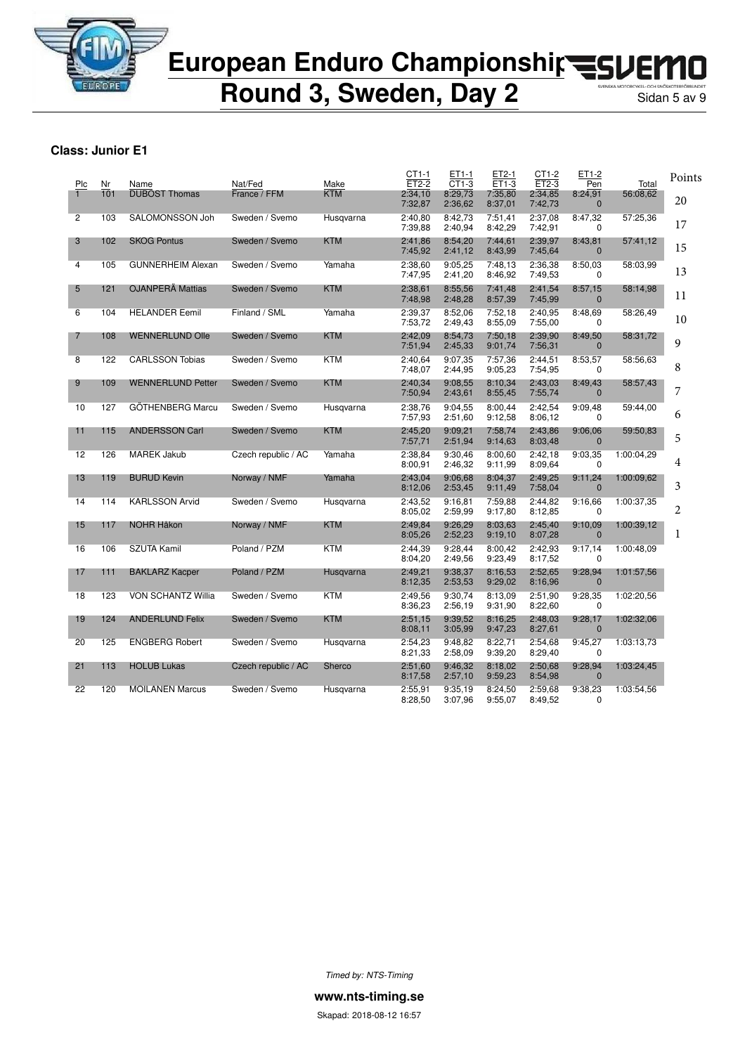

**Round 3, Sweden, Day 2** 

### **Class: Junior E1**

| Plc            | Nr  | Name                     | Nat/Fed             | Make       | CT1-1<br>$ET2-2$   | ET1-1<br>CT1-3     | ET2-1<br>$ET1-3$   | CT1-2<br>$ET2-3$   | ET1-2<br>Pen              | Total      | Points         |
|----------------|-----|--------------------------|---------------------|------------|--------------------|--------------------|--------------------|--------------------|---------------------------|------------|----------------|
|                | 101 | <b>DUBOST Thomas</b>     | France / FFM        | <b>KTM</b> | 2:34,10<br>7:32,87 | 8:29,73<br>2:36,62 | 7:35,80<br>8:37,01 | 2:34,85<br>7:42,73 | 8:24,91<br>$\mathbf{0}$   | 56:08,62   | 20             |
| $\overline{2}$ | 103 | SALOMONSSON Joh          | Sweden / Svemo      | Husgvarna  | 2:40.80<br>7:39.88 | 8:42.73<br>2:40,94 | 7:51.41<br>8:42,29 | 2:37.08<br>7:42,91 | 8:47,32<br>$\Omega$       | 57:25.36   | 17             |
| 3              | 102 | <b>SKOG Pontus</b>       | Sweden / Svemo      | <b>KTM</b> | 2:41,86<br>7:45,92 | 8:54,20<br>2:41,12 | 7:44,61<br>8:43,99 | 2:39,97<br>7:45.64 | 8:43,81<br>$\mathbf 0$    | 57:41,12   | 15             |
| 4              | 105 | <b>GUNNERHEIM Alexan</b> | Sweden / Svemo      | Yamaha     | 2:38,60<br>7:47,95 | 9:05,25<br>2:41,20 | 7:48,13<br>8:46,92 | 2:36,38<br>7:49,53 | 8:50,03<br>0              | 58:03,99   | 13             |
| 5              | 121 | <b>OJANPERÄ Mattias</b>  | Sweden / Svemo      | <b>KTM</b> | 2:38.61<br>7:48,98 | 8:55.56<br>2:48,28 | 7:41.48<br>8:57,39 | 2:41.54<br>7:45,99 | 8:57,15<br>$\mathbf 0$    | 58:14,98   | 11             |
| 6              | 104 | <b>HELANDER Eemil</b>    | Finland / SML       | Yamaha     | 2:39,37<br>7:53,72 | 8:52,06<br>2:49,43 | 7:52,18<br>8:55,09 | 2:40,95<br>7:55,00 | 8:48,69<br>0              | 58:26,49   | 10             |
| 7              | 108 | <b>WENNERLUND Olle</b>   | Sweden / Svemo      | <b>KTM</b> | 2:42,09<br>7:51,94 | 8:54,73<br>2:45,33 | 7:50,18<br>9:01,74 | 2:39,90<br>7:56,31 | 8:49,50<br>$\mathbf{0}$   | 58:31,72   | 9              |
| $\overline{8}$ | 122 | <b>CARLSSON Tobias</b>   | Sweden / Svemo      | <b>KTM</b> | 2:40,64<br>7:48,07 | 9:07,35<br>2:44,95 | 7:57,36<br>9:05,23 | 2:44,51<br>7:54,95 | 8:53,57<br>0              | 58:56,63   | 8              |
| 9              | 109 | <b>WENNERLUND Petter</b> | Sweden / Svemo      | <b>KTM</b> | 2:40.34<br>7:50,94 | 9:08.55<br>2:43,61 | 8:10,34<br>8:55,45 | 2:43.03<br>7:55,74 | 8:49,43<br>$\mathbf{0}$   | 58:57,43   | 7              |
| 10             | 127 | GÖTHENBERG Marcu         | Sweden / Svemo      | Husqvarna  | 2:38,76<br>7:57,93 | 9:04.55<br>2:51,60 | 8:00,44<br>9:12.58 | 2:42,54<br>8:06.12 | 9:09,48<br>0              | 59:44,00   | 6              |
| 11             | 115 | <b>ANDERSSON Carl</b>    | Sweden / Svemo      | <b>KTM</b> | 2:45,20<br>7:57,71 | 9:09,21<br>2:51,94 | 7:58,74<br>9:14,63 | 2:43,86<br>8:03,48 | 9:06,06<br>$\mathbf 0$    | 59:50,83   | 5              |
| 12             | 126 | <b>MAREK Jakub</b>       | Czech republic / AC | Yamaha     | 2:38,84<br>8:00,91 | 9:30,46<br>2:46,32 | 8:00.60<br>9:11,99 | 2:42,18<br>8:09.64 | 9:03,35<br>0              | 1:00:04.29 | 4              |
| 13             | 119 | <b>BURUD Kevin</b>       | Norway / NMF        | Yamaha     | 2:43,04<br>8:12,06 | 9:06.68<br>2:53,45 | 8:04.37<br>9:11.49 | 2:49.25<br>7:58,04 | 9:11,24<br>$\mathbf{0}$   | 1:00:09,62 | 3              |
| 14             | 114 | <b>KARLSSON Arvid</b>    | Sweden / Svemo      | Husqvarna  | 2:43,52<br>8:05,02 | 9:16.81<br>2:59.99 | 7:59.88<br>9:17,80 | 2:44,82<br>8:12,85 | 9:16,66<br>0              | 1:00:37,35 | $\overline{2}$ |
| 15             | 117 | <b>NOHR Håkon</b>        | Norway / NMF        | <b>KTM</b> | 2:49,84<br>8:05,26 | 9:26,29<br>2:52,23 | 8:03,63<br>9:19,10 | 2:45,40<br>8:07,28 | 9:10,09<br>$\mathbf 0$    | 1:00:39,12 | 1              |
| 16             | 106 | <b>SZUTA Kamil</b>       | Poland / PZM        | <b>KTM</b> | 2:44,39<br>8:04,20 | 9:28,44<br>2:49,56 | 8:00,42<br>9:23,49 | 2:42,93<br>8:17,52 | 9:17,14<br>$\Omega$       | 1:00:48.09 |                |
| 17             | 111 | <b>BAKLARZ Kacper</b>    | Poland / PZM        | Husqvarna  | 2:49,21<br>8:12,35 | 9:38,37<br>2:53,53 | 8:16.53<br>9:29,02 | 2:52,65<br>8:16,96 | 9:28,94<br>$\mathbf{0}$   | 1:01:57,56 |                |
| 18             | 123 | VON SCHANTZ Willia       | Sweden / Svemo      | KTM        | 2:49,56<br>8:36,23 | 9:30,74<br>2:56,19 | 8:13.09<br>9:31,90 | 2:51,90<br>8:22,60 | 9:28,35<br>0              | 1:02:20,56 |                |
| 19             | 124 | <b>ANDERLUND Felix</b>   | Sweden / Svemo      | <b>KTM</b> | 2:51,15<br>8:08,11 | 9:39,52<br>3:05,99 | 8:16,25<br>9:47,23 | 2:48,03<br>8:27,61 | 9:28,17<br>$\mathbf{0}$   | 1:02:32,06 |                |
| 20             | 125 | <b>ENGBERG Robert</b>    | Sweden / Svemo      | Husgvarna  | 2:54,23<br>8:21,33 | 9:48.82<br>2:58,09 | 8:22,71<br>9:39,20 | 2:54,68<br>8:29,40 | 9:45,27<br>0              | 1:03:13.73 |                |
| 21             | 113 | <b>HOLUB Lukas</b>       | Czech republic / AC | Sherco     | 2:51,60<br>8:17,58 | 9:46,32<br>2:57,10 | 8:18,02<br>9:59,23 | 2:50,68<br>8:54,98 | 9:28,94<br>$\overline{0}$ | 1:03:24,45 |                |
| 22             | 120 | <b>MOILANEN Marcus</b>   | Sweden / Svemo      | Husqvarna  | 2:55,91<br>8:28,50 | 9:35.19<br>3:07.96 | 8:24,50<br>9:55,07 | 2:59,68<br>8:49,52 | 9:38,23<br>$\Omega$       | 1:03:54,56 |                |

*Timed by: NTS-Timing*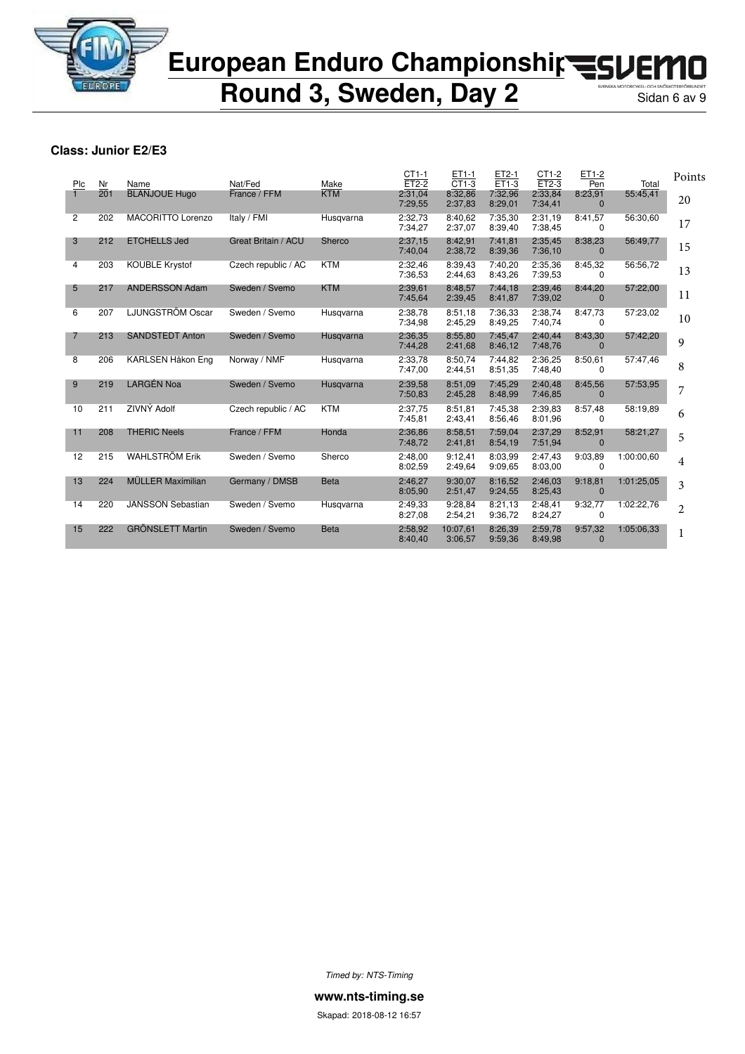

**Round 3, Sweden, Day 2** 

### **Class: Junior E2/E3**

| Plc            | Nr  | Name                     | Nat/Fed             | Make        | $CT1-1$<br>$ET2-2$ | ET1-1<br>$CT1-3$    | ET2-1<br>$ET1-3$   | CT1-2<br>$ET2-3$   | ET1-2<br>Pen            | Total      | Points         |
|----------------|-----|--------------------------|---------------------|-------------|--------------------|---------------------|--------------------|--------------------|-------------------------|------------|----------------|
|                | 201 | <b>BLANJOUE Hugo</b>     | France / FFM        | <b>KTM</b>  | 2:31,04<br>7:29,55 | 8:32,86<br>2:37,83  | 7:32,96<br>8:29,01 | 2:33,84<br>7:34,41 | 8:23,91<br>$\Omega$     | 55:45,41   | 20             |
| $\overline{2}$ | 202 | <b>MACORITTO Lorenzo</b> | Italy / FMI         | Husqvarna   | 2:32,73<br>7:34,27 | 8:40.62<br>2:37,07  | 7:35.30<br>8:39,40 | 2:31,19<br>7:38,45 | 8:41,57<br>$\Omega$     | 56:30,60   | 17             |
| 3              | 212 | <b>ETCHELLS Jed</b>      | Great Britain / ACU | Sherco      | 2:37.15<br>7:40,04 | 8:42.91<br>2:38,72  | 7:41.81<br>8:39,36 | 2:35.45<br>7:36,10 | 8:38.23<br>$\Omega$     | 56:49,77   | 15             |
| 4              | 203 | <b>KOUBLE Krystof</b>    | Czech republic / AC | <b>KTM</b>  | 2:32,46<br>7:36.53 | 8:39.43<br>2:44,63  | 7:40.20<br>8:43,26 | 2:35,36<br>7:39.53 | 8:45,32<br><sup>0</sup> | 56:56,72   | 13             |
| 5              | 217 | <b>ANDERSSON Adam</b>    | Sweden / Svemo      | <b>KTM</b>  | 2:39,61<br>7:45.64 | 8:48.57<br>2:39,45  | 7:44.18<br>8:41,87 | 2:39,46<br>7:39,02 | 8:44,20<br>$\Omega$     | 57:22,00   | 11             |
| 6              | 207 | LJUNGSTRÖM Oscar         | Sweden / Svemo      | Husgvarna   | 2:38,78<br>7:34.98 | 8:51,18<br>2:45,29  | 7:36.33<br>8:49.25 | 2:38,74<br>7:40,74 | 8:47,73<br>$\Omega$     | 57:23,02   | 10             |
| 7              | 213 | <b>SANDSTEDT Anton</b>   | Sweden / Svemo      | Husgvarna   | 2:36,35<br>7:44,28 | 8:55,80<br>2:41,68  | 7:45.47<br>8:46,12 | 2:40,44<br>7:48,76 | 8:43,30<br>$\Omega$     | 57:42,20   | 9              |
| 8              | 206 | KARLSEN Håkon Eng        | Norway / NMF        | Husgvarna   | 2:33.78<br>7:47,00 | 8:50.74<br>2:44,51  | 7:44.82<br>8:51,35 | 2:36.25<br>7:48,40 | 8:50,61<br>$\Omega$     | 57:47.46   | 8              |
| 9              | 219 | <b>LARGÉN Noa</b>        | Sweden / Svemo      | Husgvarna   | 2:39,58<br>7:50,83 | 8:51,09<br>2:45,28  | 7:45,29<br>8:48,99 | 2:40,48<br>7:46.85 | 8:45,56<br>$\Omega$     | 57:53,95   | 7              |
| 10             | 211 | ZIVNÝ Adolf              | Czech republic / AC | <b>KTM</b>  | 2:37,75<br>7:45.81 | 8:51,81<br>2:43,41  | 7:45,38<br>8:56,46 | 2:39,83<br>8:01,96 | 8:57,48<br>$\Omega$     | 58:19.89   | 6              |
| 11             | 208 | <b>THERIC Neels</b>      | France / FFM        | Honda       | 2:36.86<br>7:48,72 | 8:58.51<br>2:41,81  | 7:59.04<br>8:54,19 | 2:37.29<br>7:51,94 | 8:52,91<br>$\Omega$     | 58:21,27   | 5              |
| 12             | 215 | <b>WAHLSTRÖM Erik</b>    | Sweden / Svemo      | Sherco      | 2:48.00<br>8:02.59 | 9:12.41<br>2:49,64  | 8:03.99<br>9:09.65 | 2:47.43<br>8:03,00 | 9:03.89<br>0            | 1:00:00,60 | 4              |
| 13             | 224 | <b>MÜLLER Maximilian</b> | Germany / DMSB      | <b>Beta</b> | 2:46.27<br>8:05,90 | 9:30.07<br>2:51,47  | 8:16.52<br>9:24,55 | 2:46.03<br>8:25,43 | 9:18,81<br>$\Omega$     | 1:01:25.05 | 3              |
| 14             | 220 | <b>JANSSON Sebastian</b> | Sweden / Svemo      | Husgvarna   | 2:49,33<br>8:27,08 | 9:28.84<br>2:54,21  | 8:21.13<br>9:36,72 | 2:48.41<br>8:24,27 | 9:32,77<br>$\Omega$     | 1:02:22,76 | $\overline{2}$ |
| 15             | 222 | <b>GRÖNSLETT Martin</b>  | Sweden / Svemo      | <b>Beta</b> | 2:58,92<br>8:40,40 | 10:07.61<br>3:06,57 | 8:26,39<br>9:59,36 | 2:59,78<br>8:49,98 | 9:57,32<br>$\Omega$     | 1:05:06.33 | 1              |

*Timed by: NTS-Timing*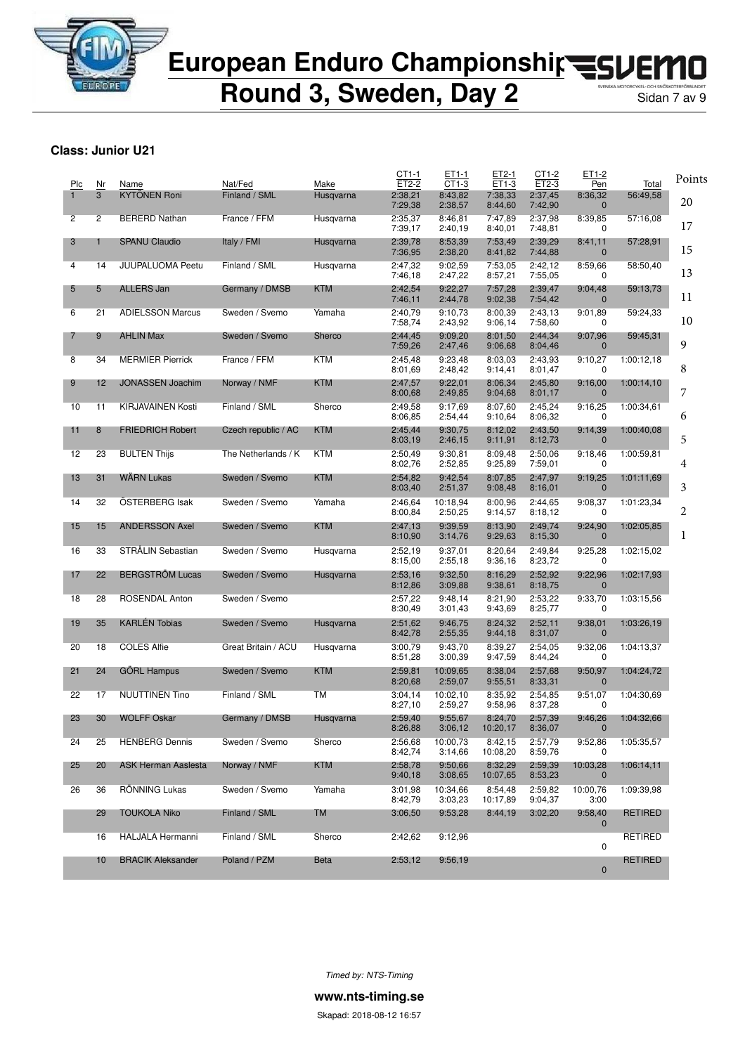

**Round 3, Sweden, Day 2** Sidan 7 av 9

#### **Class: Junior U21**

| Plc            | Nr             | Name                     | Nat/Fed             | Make        | CT1-1<br>ET2-2     | ET1-1<br>CT1-3      | ET2-1<br>ET1-3      | CT1-2<br>ET2-3     | ET1-2<br>Pen            | Total          | Points |
|----------------|----------------|--------------------------|---------------------|-------------|--------------------|---------------------|---------------------|--------------------|-------------------------|----------------|--------|
|                | 3              | <b>KYTÖNEN Roni</b>      | Finland / SML       | Husqvarna   | 2:38,21<br>7:29,38 | 8:43,82<br>2:38,57  | 7:38,33<br>8:44,60  | 2:37,45<br>7:42,90 | 8:36,32<br>$\mathbf{0}$ | 56:49,58       | 20     |
| $\overline{2}$ | $\overline{2}$ | <b>BERERD Nathan</b>     | France / FFM        | Husqvarna   | 2:35,37<br>7:39,17 | 8:46.81<br>2:40,19  | 7:47,89<br>8:40,01  | 2:37,98<br>7:48,81 | 8:39,85<br>0            | 57:16,08       | 17     |
| 3              | 1              | <b>SPANU Claudio</b>     | Italy / FMI         | Husgvarna   | 2:39,78<br>7:36,95 | 8:53,39<br>2:38,20  | 7:53,49<br>8:41,82  | 2:39.29<br>7:44,88 | 8:41,11<br>$\mathbf 0$  | 57:28,91       | 15     |
| 4              | 14             | <b>JUUPALUOMA Peetu</b>  | Finland / SML       | Husqvarna   | 2:47,32<br>7:46,18 | 9:02,59<br>2:47,22  | 7:53,05<br>8:57,21  | 2:42,12<br>7:55,05 | 8:59,66<br>0            | 58:50,40       | 13     |
| 5              | 5              | <b>ALLERS Jan</b>        | Germany / DMSB      | <b>KTM</b>  | 2:42,54<br>7:46,11 | 9:22,27<br>2:44,78  | 7:57,28<br>9:02,38  | 2:39,47<br>7:54,42 | 9:04,48<br>$\mathbf 0$  | 59:13,73       | 11     |
| 6              | 21             | <b>ADIELSSON Marcus</b>  | Sweden / Svemo      | Yamaha      | 2:40,79<br>7:58,74 | 9:10,73<br>2:43,92  | 8:00,39<br>9:06,14  | 2:43,13<br>7:58,60 | 9:01,89<br>0            | 59:24,33       | 10     |
| 7              | 9              | <b>AHLIN Max</b>         | Sweden / Svemo      | Sherco      | 2:44,45<br>7:59,26 | 9:09,20<br>2:47,46  | 8:01,50<br>9:06,68  | 2:44,34<br>8:04,46 | 9:07,96<br>$\mathbf{0}$ | 59:45,31       | 9      |
| 8              | 34             | <b>MERMIER Pierrick</b>  | France / FFM        | <b>KTM</b>  | 2:45,48<br>8:01,69 | 9:23,48<br>2:48,42  | 8:03,03<br>9:14,41  | 2:43,93<br>8:01,47 | 9:10,27<br>0            | 1:00:12,18     | 8      |
| 9              | 12             | <b>JONASSEN Joachim</b>  | Norway / NMF        | <b>KTM</b>  | 2:47,57<br>8:00,68 | 9:22.01<br>2:49,85  | 8:06,34<br>9:04,68  | 2:45,80<br>8:01,17 | 9:16,00<br>$\mathbf 0$  | 1:00:14,10     | 7      |
| 10             | 11             | <b>KIRJAVAINEN Kosti</b> | Finland / SML       | Sherco      | 2:49,58<br>8:06,85 | 9:17,69<br>2:54,44  | 8:07,60<br>9:10,64  | 2:45,24<br>8:06,32 | 9:16,25<br>0            | 1:00:34,61     | 6      |
| 11             | 8              | <b>FRIEDRICH Robert</b>  | Czech republic / AC | <b>KTM</b>  | 2:45,44<br>8:03,19 | 9:30,75<br>2:46,15  | 8:12.02<br>9:11,91  | 2:43,50<br>8:12,73 | 9:14,39<br>$\mathbf 0$  | 1:00:40.08     | 5      |
| 12             | 23             | <b>BULTEN Thijs</b>      | The Netherlands / K | KTM         | 2:50,49<br>8:02,76 | 9:30.81<br>2:52,85  | 8:09,48<br>9:25,89  | 2:50,06<br>7:59,01 | 9:18,46<br>0            | 1:00:59,81     | 4      |
| 13             | 31             | <b>WARN Lukas</b>        | Sweden / Svemo      | <b>KTM</b>  | 2:54,82<br>8:03,40 | 9:42,54<br>2:51,37  | 8:07,85<br>9:08,48  | 2:47,97<br>8:16,01 | 9:19,25<br>$\mathbf{0}$ | 1:01:11,69     | 3      |
| 14             | 32             | ÖSTERBERG Isak           | Sweden / Svemo      | Yamaha      | 2:46,64<br>8:00,84 | 10:18,94<br>2:50,25 | 8:00,96<br>9:14,57  | 2:44,65<br>8:18,12 | 9:08,37<br>0            | 1:01:23,34     | 2      |
| 15             | 15             | <b>ANDERSSON Axel</b>    | Sweden / Svemo      | <b>KTM</b>  | 2:47,13<br>8:10,90 | 9:39,59<br>3:14,76  | 8:13,90<br>9:29,63  | 2:49,74<br>8:15,30 | 9:24,90<br>$\mathbf 0$  | 1:02:05,85     | 1      |
| 16             | 33             | STRÅLIN Sebastian        | Sweden / Svemo      | Husqvarna   | 2:52,19<br>8:15,00 | 9:37,01<br>2:55,18  | 8:20,64<br>9:36,16  | 2:49,84<br>8:23,72 | 9:25,28<br>0            | 1:02:15,02     |        |
| 17             | 22             | <b>BERGSTROM Lucas</b>   | Sweden / Svemo      | Husqvarna   | 2:53,16<br>8:12,86 | 9:32,50<br>3:09,88  | 8:16,29<br>9:38,61  | 2:52,92<br>8:18,75 | 9:22,96<br>$\bf{0}$     | 1:02:17,93     |        |
| 18             | 28             | ROSENDAL Anton           | Sweden / Svemo      |             | 2:57,22<br>8:30,49 | 9:48,14<br>3:01,43  | 8:21,90<br>9:43,69  | 2:53,22<br>8:25,77 | 9:33,70<br>0            | 1:03:15,56     |        |
| 19             | 35             | <b>KARLÉN Tobias</b>     | Sweden / Svemo      | Husqvarna   | 2:51,62<br>8:42,78 | 9:46,75<br>2:55,35  | 8:24,32<br>9:44,18  | 2:52,11<br>8:31,07 | 9:38,01<br>$\mathbf 0$  | 1:03:26,19     |        |
| 20             | 18             | <b>COLES Alfie</b>       | Great Britain / ACU | Husqvarna   | 3:00,79<br>8:51,28 | 9:43,70<br>3:00,39  | 8:39,27<br>9:47,59  | 2:54,05<br>8:44,24 | 9:32,06<br>0            | 1:04:13,37     |        |
| 21             | 24             | <b>GORL Hampus</b>       | Sweden / Svemo      | <b>KTM</b>  | 2:59,81<br>8:20,68 | 10:09,65<br>2:59,07 | 8:38,04<br>9:55,51  | 2:57,68<br>8:33,31 | 9:50,97<br>$\mathbf 0$  | 1:04:24,72     |        |
| 22             | 17             | <b>NUUTTINEN Tino</b>    | Finland / SML       | <b>TM</b>   | 3:04.14<br>8:27,10 | 10:02,10<br>2:59,27 | 8:35,92<br>9:58,96  | 2:54,85<br>8:37,28 | 9:51,07<br>0            | 1:04:30,69     |        |
| 23             | 30             | <b>WOLFF Oskar</b>       | Germany / DMSB      | Husqvarna   | 2:59,40<br>8:26,88 | 9:55,67<br>3:06,12  | 8:24,70<br>10:20,17 | 2:57,39<br>8:36,07 | 9:46,26<br>$\mathbf{0}$ | 1:04:32,66     |        |
| 24             | 25             | <b>HENBERG Dennis</b>    | Sweden / Svemo      | Sherco      | 2:56,68<br>8:42,74 | 10:00,73<br>3:14,66 | 8:42,15<br>10:08,20 | 2:57,79<br>8:59,76 | 9:52,86<br>0            | 1:05:35,57     |        |
| 25             | 20             | ASK Herman Aaslesta      | Norway / NMF        | <b>KTM</b>  | 2:58,78<br>9:40,18 | 9:50,66<br>3:08,65  | 8:32,29<br>10:07,65 | 2:59,39<br>8:53,23 | 10:03,28<br>$\mathbf 0$ | 1:06:14,11     |        |
| 26             | 36             | RÖNNING Lukas            | Sweden / Svemo      | Yamaha      | 3:01,98<br>8:42,79 | 10:34,66<br>3:03,23 | 8:54,48<br>10:17,89 | 2:59,82<br>9:04,37 | 10:00,76<br>3:00        | 1:09:39,98     |        |
|                | 29             | <b>TOUKOLA Niko</b>      | Finland / SML       | <b>TM</b>   | 3:06,50            | 9:53,28             | 8:44,19             | 3:02,20            | 9:58,40<br>$\mathbf{0}$ | <b>RETIRED</b> |        |
|                | 16             | <b>HALJALA Hermanni</b>  | Finland / SML       | Sherco      | 2:42,62            | 9:12,96             |                     |                    | 0                       | RETIRED        |        |
|                | 10             | <b>BRACIK Aleksander</b> | Poland / PZM        | <b>Beta</b> | 2:53,12            | 9:56,19             |                     |                    | $\mathbf 0$             | RETIRED        |        |
|                |                |                          |                     |             |                    |                     |                     |                    |                         |                |        |

*Timed by: NTS-Timing*

**www.nts-timing.se**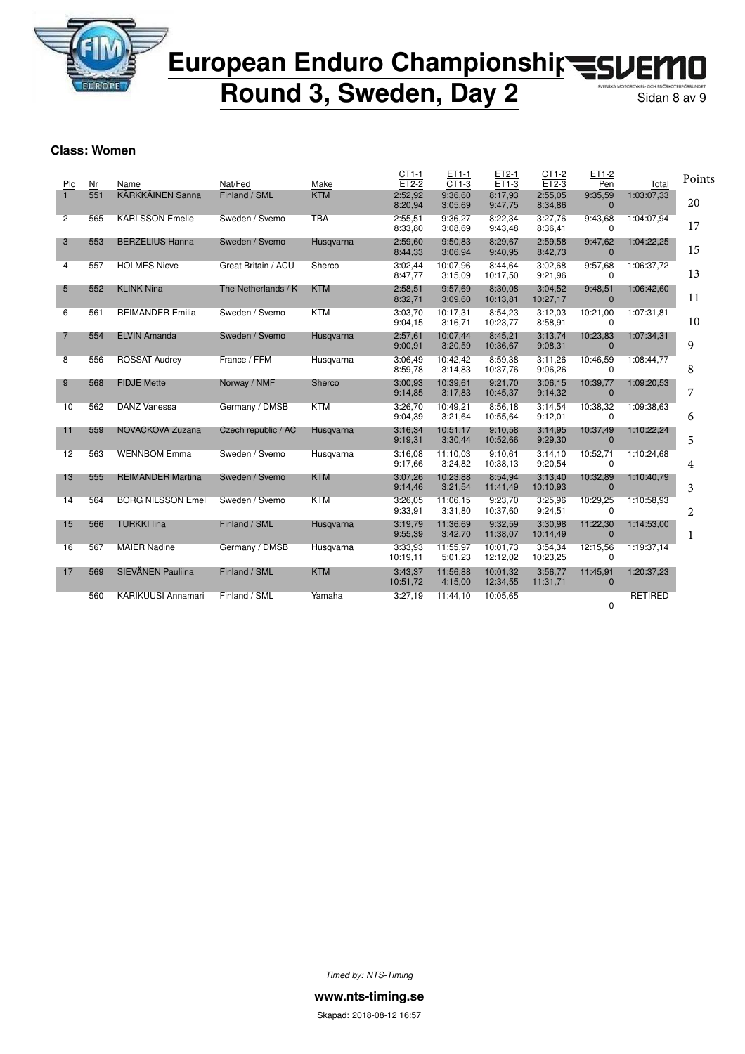

**Round 3, Sweden, Day 2** 

#### **Class: Women**

| Plc            | Nr  | Name                      | Nat/Fed             | Make       | CT1-1<br>$ET2-2$    | ET1-1<br>$CT1-3$    | ET2-1<br>ET1-3       | CT1-2<br>$ET2-3$    | ET1-2<br>Pen             | Total          | Points |
|----------------|-----|---------------------------|---------------------|------------|---------------------|---------------------|----------------------|---------------------|--------------------------|----------------|--------|
| $\mathbf{1}$   | 551 | <b>KÄRKKÄINEN Sanna</b>   | Finland / SML       | <b>KTM</b> | 2:52.92<br>8:20,94  | 9:36.60<br>3:05,69  | 8:17,93<br>9:47,75   | 2:55,05<br>8:34,86  | 9:35,59<br>$\mathbf{0}$  | 1:03:07.33     | 20     |
| $\overline{2}$ | 565 | <b>KARLSSON Emelie</b>    | Sweden / Svemo      | <b>TBA</b> | 2:55,51<br>8:33,80  | 9:36,27<br>3:08,69  | 8:22,34<br>9:43,48   | 3:27,76<br>8:36.41  | 9:43,68<br>0             | 1:04:07.94     | 17     |
| 3              | 553 | <b>BERZELIUS Hanna</b>    | Sweden / Svemo      | Husgvarna  | 2:59,60<br>8:44,33  | 9:50,83<br>3:06,94  | 8:29,67<br>9:40,95   | 2:59,58<br>8:42,73  | 9:47,62<br>$\mathbf{0}$  | 1:04:22,25     | 15     |
| 4              | 557 | <b>HOLMES Nieve</b>       | Great Britain / ACU | Sherco     | 3:02,44<br>8:47,77  | 10:07.96<br>3:15,09 | 8:44,64<br>10:17.50  | 3:02,68<br>9:21,96  | 9:57,68<br>0             | 1:06:37,72     | 13     |
| 5              | 552 | <b>KLINK Nina</b>         | The Netherlands / K | <b>KTM</b> | 2:58,51<br>8:32,71  | 9:57.69<br>3:09,60  | 8:30,08<br>10:13,81  | 3:04,52<br>10:27,17 | 9:48,51<br>$\mathbf{0}$  | 1:06:42,60     | 11     |
| 6              | 561 | <b>REIMANDER Emilia</b>   | Sweden / Svemo      | <b>KTM</b> | 3:03.70<br>9:04,15  | 10:17.31<br>3:16.71 | 8:54.23<br>10:23,77  | 3:12.03<br>8:58,91  | 10:21,00<br>0            | 1:07:31.81     | 10     |
| 7              | 554 | <b>ELVIN Amanda</b>       | Sweden / Svemo      | Husgvarna  | 2:57,61<br>9:00,91  | 10:07,44<br>3:20,59 | 8:45,21<br>10:36,67  | 3:13,74<br>9:08,31  | 10:23,83<br>$\mathbf{0}$ | 1:07:34,31     | 9      |
| 8              | 556 | <b>ROSSAT Audrey</b>      | France / FFM        | Husqvarna  | 3:06,49<br>8:59,78  | 10:42,42<br>3:14.83 | 8:59,38<br>10:37,76  | 3:11,26<br>9:06,26  | 10:46,59<br>0            | 1:08:44,77     | 8      |
| 9              | 568 | <b>FIDJE Mette</b>        | Norway / NMF        | Sherco     | 3:00,93<br>9:14,85  | 10:39.61<br>3:17,83 | 9:21.70<br>10:45,37  | 3:06,15<br>9:14,32  | 10:39,77<br>$\mathbf{0}$ | 1:09:20,53     | 7      |
| 10             | 562 | <b>DANZ Vanessa</b>       | Germany / DMSB      | <b>KTM</b> | 3:26.70<br>9:04,39  | 10:49.21<br>3:21,64 | 8:56.18<br>10:55,64  | 3:14,54<br>9:12.01  | 10:38,32<br>$\mathbf 0$  | 1:09:38.63     | 6      |
| 11             | 559 | NOVACKOVA Zuzana          | Czech republic / AC | Husgvarna  | 3:16,34<br>9:19,31  | 10:51,17<br>3:30,44 | 9:10,58<br>10:52,66  | 3:14.95<br>9:29,30  | 10:37,49<br>$\mathbf{0}$ | 1:10:22,24     | 5      |
| 12             | 563 | <b>WENNBOM Emma</b>       | Sweden / Svemo      | Husqvarna  | 3:16,08<br>9:17,66  | 11:10.03<br>3:24,82 | 9:10.61<br>10:38,13  | 3:14,10<br>9:20,54  | 10:52,71<br>0            | 1:10:24,68     | 4      |
| 13             | 555 | <b>REIMANDER Martina</b>  | Sweden / Svemo      | <b>KTM</b> | 3:07,26<br>9:14,46  | 10:23,88<br>3:21,54 | 8:54,94<br>11:41,49  | 3:13,40<br>10:10,93 | 10:32,89<br>$\mathbf{0}$ | 1:10:40,79     | 3      |
| 14             | 564 | <b>BORG NILSSON Emel</b>  | Sweden / Svemo      | <b>KTM</b> | 3:26,05<br>9:33,91  | 11:06.15<br>3:31,80 | 9:23,70<br>10:37,60  | 3:25,96<br>9:24,51  | 10:29,25<br>0            | 1:10:58,93     | 2      |
| 15             | 566 | <b>TURKKI lina</b>        | Finland / SML       | Husqvarna  | 3:19,79<br>9:55,39  | 11:36.69<br>3:42,70 | 9:32,59<br>11:38,07  | 3:30.98<br>10:14,49 | 11:22,30<br>$\mathbf{0}$ | 1:14:53,00     | 1      |
| 16             | 567 | <b>MAIER Nadine</b>       | Germany / DMSB      | Husgvarna  | 3:33,93<br>10:19.11 | 11:55.97<br>5:01,23 | 10:01.73<br>12:12,02 | 3:54,34<br>10:23,25 | 12:15.56<br>0            | 1:19:37.14     |        |
| 17             | 569 | SIEVÄNEN Pauliina         | Finland / SML       | <b>KTM</b> | 3:43,37<br>10:51,72 | 11:56.88<br>4:15,00 | 10:01.32<br>12:34,55 | 3:56.77<br>11:31.71 | 11:45,91<br>$\mathbf{0}$ | 1:20:37,23     |        |
|                | 560 | <b>KARIKUUSI Annamari</b> | Finland / SML       | Yamaha     | 3:27,19             | 11:44.10            | 10:05.65             |                     | 0                        | <b>RETIRED</b> |        |

*Timed by: NTS-Timing*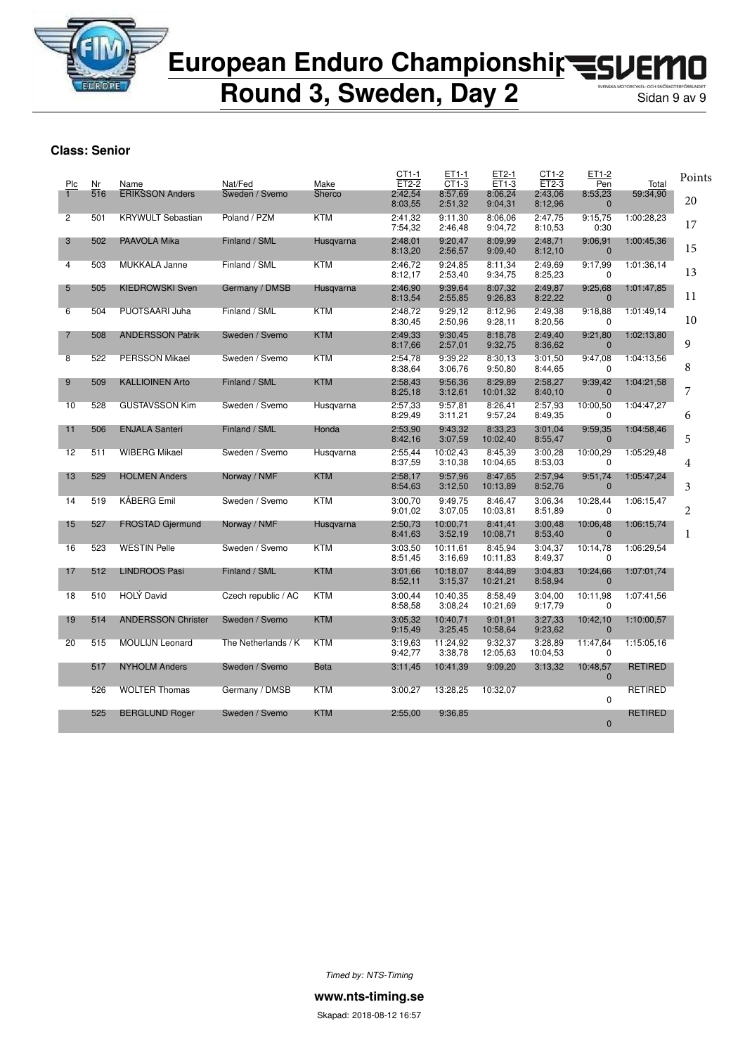

**Round 3, Sweden, Day 2** 

### **Class: Senior**

| Plc            | Nr  | Name                      | Nat/Fed             | Make        | CT1-1<br>$ET2-2$   | ET1-1<br>CT1-3      | ET2-1<br>$ET1-3$    | CT1-2<br>ET2-3      | ET1-2<br>Pen               | Total          | Points         |
|----------------|-----|---------------------------|---------------------|-------------|--------------------|---------------------|---------------------|---------------------|----------------------------|----------------|----------------|
|                | 516 | <b>ERIKSSON Anders</b>    | Sweden / Svemo      | Sherco      | 2:42,54<br>8:03,55 | 8:57,69<br>2:51,32  | 8:06,24<br>9:04,31  | 2:43,06<br>8:12,96  | 8:53,23<br>$\mathbf{0}$    | 59:34,90       | 20             |
| $\overline{2}$ | 501 | <b>KRYWULT Sebastian</b>  | Poland / PZM        | <b>KTM</b>  | 2:41,32<br>7:54,32 | 9:11,30<br>2:46,48  | 8:06,06<br>9:04,72  | 2:47,75<br>8:10,53  | 9:15,75<br>0:30            | 1:00:28.23     | 17             |
| 3              | 502 | PAAVOLA Mika              | Finland / SML       | Husqvarna   | 2:48,01<br>8:13,20 | 9:20,47<br>2:56,57  | 8:09.99<br>9:09,40  | 2:48,71<br>8:12,10  | 9:06,91<br>$\mathbf 0$     | 1:00:45,36     | 15             |
| 4              | 503 | <b>MUKKALA Janne</b>      | Finland / SML       | <b>KTM</b>  | 2:46,72<br>8:12,17 | 9:24,85<br>2:53,40  | 8:11,34<br>9:34,75  | 2:49,69<br>8:25,23  | 9:17,99<br>0               | 1:01:36.14     | 13             |
| 5              | 505 | <b>KIEDROWSKI Sven</b>    | Germany / DMSB      | Husqvarna   | 2:46.90<br>8:13,54 | 9:39,64<br>2:55,85  | 8:07,32<br>9:26,83  | 2:49,87<br>8:22,22  | 9:25,68<br>$\mathbf{0}$    | 1:01:47,85     | 11             |
| 6              | 504 | PUOTSAARI Juha            | Finland / SML       | <b>KTM</b>  | 2:48,72<br>8:30,45 | 9:29,12<br>2:50,96  | 8:12,96<br>9:28,11  | 2:49,38<br>8:20,56  | 9:18,88<br>0               | 1:01:49.14     | 10             |
| 7              | 508 | <b>ANDERSSON Patrik</b>   | Sweden / Svemo      | <b>KTM</b>  | 2:49.33<br>8:17,66 | 9:30,45<br>2:57,01  | 8:18,78<br>9:32,75  | 2:49.40<br>8:36,62  | 9:21,80<br>$\Omega$        | 1:02:13.80     | 9              |
| 8              | 522 | <b>PERSSON Mikael</b>     | Sweden / Svemo      | <b>KTM</b>  | 2:54,78<br>8:38,64 | 9:39,22<br>3:06,76  | 8:30,13<br>9:50,80  | 3:01,50<br>8:44,65  | 9:47,08<br>0               | 1:04:13,56     | 8              |
| 9              | 509 | <b>KALLIOINEN Arto</b>    | Finland / SML       | <b>KTM</b>  | 2:58,43<br>8:25,18 | 9:56,36<br>3:12,61  | 8:29,89<br>10:01,32 | 2:58,27<br>8:40,10  | 9:39,42<br>$\mathbf 0$     | 1:04:21,58     | 7              |
| 10             | 528 | <b>GUSTAVSSON Kim</b>     | Sweden / Svemo      | Husqvarna   | 2:57,33<br>8:29,49 | 9:57,81<br>3:11,21  | 8:26,41<br>9:57,24  | 2:57,93<br>8:49,35  | 10:00,50<br>0              | 1:04:47,27     | 6              |
| 11             | 506 | <b>ENJALA Santeri</b>     | Finland / SML       | Honda       | 2:53,90<br>8:42,16 | 9:43,32<br>3:07,59  | 8:33,23<br>10:02,40 | 3:01,04<br>8:55,47  | 9:59,35<br>$\mathbf 0$     | 1:04:58,46     | 5              |
| 12             | 511 | <b>WIBERG Mikael</b>      | Sweden / Svemo      | Husqvarna   | 2:55,44<br>8:37,59 | 10:02,43<br>3:10,38 | 8:45,39<br>10:04,65 | 3:00,28<br>8:53,03  | 10:00,29<br>0              | 1:05:29.48     | 4              |
| 13             | 529 | <b>HOLMEN Anders</b>      | Norway / NMF        | <b>KTM</b>  | 2:58,17<br>8:54,63 | 9:57,96<br>3:12,50  | 8:47,65<br>10:13,89 | 2:57,94<br>8:52,76  | 9:51,74<br>$\mathbf 0$     | 1:05:47.24     | 3              |
| 14             | 519 | KÅBERG Emil               | Sweden / Svemo      | <b>KTM</b>  | 3:00.70<br>9:01,02 | 9:49.75<br>3:07,05  | 8:46,47<br>10:03,81 | 3:06,34<br>8:51,89  | 10:28,44<br>$\Omega$       | 1:06:15.47     | $\overline{c}$ |
| 15             | 527 | <b>FROSTAD Gjermund</b>   | Norway / NMF        | Husqvarna   | 2:50,73<br>8:41,63 | 10:00,71<br>3:52,19 | 8:41,41<br>10:08,71 | 3:00,48<br>8:53,40  | 10:06,48<br>$\overline{0}$ | 1:06:15.74     | 1              |
| 16             | 523 | <b>WESTIN Pelle</b>       | Sweden / Svemo      | <b>KTM</b>  | 3:03,50<br>8:51,45 | 10:11.61<br>3:16,69 | 8:45,94<br>10:11,83 | 3:04,37<br>8:49,37  | 10:14,78<br>0              | 1:06:29,54     |                |
| 17             | 512 | <b>LINDROOS Pasi</b>      | Finland / SML       | <b>KTM</b>  | 3:01,66<br>8:52,11 | 10:18,07<br>3:15,37 | 8:44,89<br>10:21,21 | 3:04,83<br>8:58,94  | 10:24,66<br>$\mathbf 0$    | 1:07:01,74     |                |
| 18             | 510 | <b>HOLY David</b>         | Czech republic / AC | <b>KTM</b>  | 3:00,44<br>8:58,58 | 10:40,35<br>3:08,24 | 8:58,49<br>10:21,69 | 3:04,00<br>9:17,79  | 10:11,98<br>0              | 1:07:41,56     |                |
| 19             | 514 | <b>ANDERSSON Christer</b> | Sweden / Svemo      | <b>KTM</b>  | 3:05,32<br>9:15,49 | 10:40,71<br>3:25,45 | 9:01.91<br>10:58,64 | 3:27,33<br>9:23,62  | 10:42,10<br>$\mathbf 0$    | 1:10:00,57     |                |
| 20             | 515 | <b>MOULIJN Leonard</b>    | The Netherlands / K | <b>KTM</b>  | 3:19,63<br>9:42,77 | 11:24,92<br>3:38,78 | 9:32,37<br>12:05,63 | 3:28.89<br>10:04,53 | 11:47,64<br>0              | 1:15:05,16     |                |
|                | 517 | <b>NYHOLM Anders</b>      | Sweden / Svemo      | <b>Beta</b> | 3:11,45            | 10:41,39            | 9:09,20             | 3:13.32             | 10:48,57<br>$\mathbf{0}$   | <b>RETIRED</b> |                |
|                | 526 | <b>WOLTER Thomas</b>      | Germany / DMSB      | <b>KTM</b>  | 3:00,27            | 13:28,25            | 10:32,07            |                     | $\mathbf 0$                | <b>RETIRED</b> |                |
|                | 525 | <b>BERGLUND Roger</b>     | Sweden / Svemo      | <b>KTM</b>  | 2:55,00            | 9:36,85             |                     |                     | $\overline{0}$             | <b>RETIRED</b> |                |
|                |     |                           |                     |             |                    |                     |                     |                     |                            |                |                |

*Timed by: NTS-Timing*